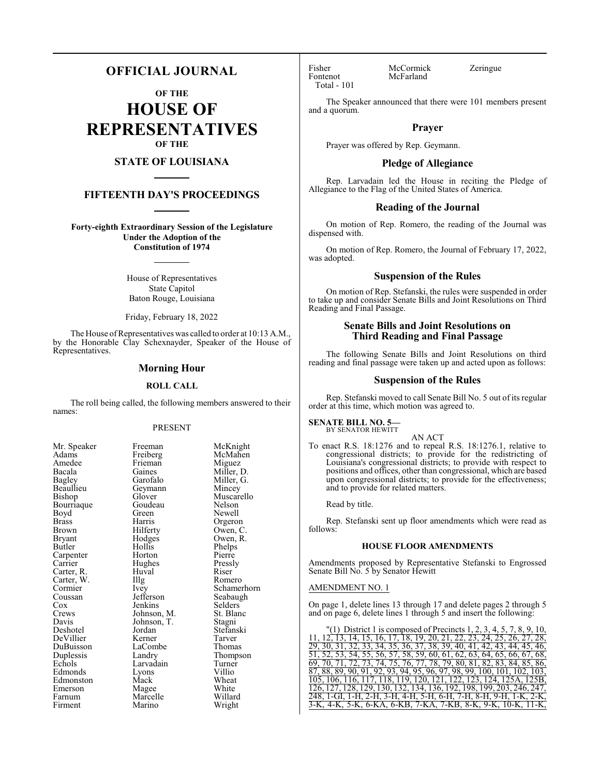# **OFFICIAL JOURNAL**

**OF THE**

**HOUSE OF REPRESENTATIVES OF THE**

# **STATE OF LOUISIANA**

# **FIFTEENTH DAY'S PROCEEDINGS**

**Forty-eighth Extraordinary Session of the Legislature Under the Adoption of the Constitution of 1974**

> House of Representatives State Capitol Baton Rouge, Louisiana

> Friday, February 18, 2022

The House of Representatives was called to order at 10:13 A.M., by the Honorable Clay Schexnayder, Speaker of the House of Representatives.

# **Morning Hour**

#### **ROLL CALL**

The roll being called, the following members answered to their names:

## PRESENT

| Mr. Speaker           |
|-----------------------|
| Adams                 |
| Amedee                |
| Bacala                |
| <b>Bagley</b>         |
| Beaullieu             |
| Bishop                |
| Bourriaque            |
| Boyd                  |
| <b>Brass</b>          |
| Brown                 |
| Bryant                |
| Butler                |
| Carpenter<br>Carrier  |
|                       |
| Carter, R.            |
| Carter, W.<br>Cormier |
|                       |
| Coussan               |
| Cox<br>Crews          |
|                       |
| Davis                 |
| Deshotel              |
| DeVillier             |
| DuBuisson             |
| Duplessis             |
| Echols                |
| Edmonds               |
| Edmonston             |
| Emerson               |
| Farnum                |
| Firment               |

Freeman McKnight<br>Freiberg McMahen Frieman<br>Gaines Gaines Miller, D.<br>Garofalo Miller, G. Geymann<br>Glover Goudeau Green Newell<br>Harris Orgero Harris Orgeron<br>Hilferty Owen, C Hilferty Owen, C.<br>Hodges Owen, R. Hodges Owen, R.<br>Hollis Phelps Hollis Phelps<br>
Horton Pierre Hughes Pressl<br>Huval Riser The Romero<br>
Ivey Schamer Jefferson Seabaugh<br>Jenkins Selders Johnson, M. Johnson, T. Stagni<br>Jordan Stefans Kerner Tarver<br>
LaCombe Thomas LaCombe<br>Landry Larvadain Turner<br>Lyons Villio Lyons Villio<br>Mack Wheat Mack Wheat<br>
Magee White Magee White<br>Marcelle Willard Marcelle Willard<br>
Marino Wright Marino

Huval<br>Illg

McMahen<br>Miguez Miller, G.<br>Mincey Muscarello<br>Nelson Pierre<br>Pressly Ivey Schamerhorn<br>Jefferson Seabaugh Selders<br>St. Blanc Stefanski<br>Tarver Thompson<br>Turner

Fisher McCormick Zeringue<br>Fontenot McFarland Total - 101

McFarland

The Speaker announced that there were 101 members present and a quorum.

# **Prayer**

Prayer was offered by Rep. Geymann.

#### **Pledge of Allegiance**

Rep. Larvadain led the House in reciting the Pledge of Allegiance to the Flag of the United States of America.

#### **Reading of the Journal**

On motion of Rep. Romero, the reading of the Journal was dispensed with.

On motion of Rep. Romero, the Journal of February 17, 2022, was adopted.

## **Suspension of the Rules**

On motion of Rep. Stefanski, the rules were suspended in order to take up and consider Senate Bills and Joint Resolutions on Third Reading and Final Passage.

# **Senate Bills and Joint Resolutions on Third Reading and Final Passage**

The following Senate Bills and Joint Resolutions on third reading and final passage were taken up and acted upon as follows:

# **Suspension of the Rules**

Rep. Stefanski moved to call Senate Bill No. 5 out of its regular order at this time, which motion was agreed to.

#### **SENATE BILL NO. 5—** BY SENATOR HEWITT

AN ACT

To enact R.S. 18:1276 and to repeal R.S. 18:1276.1, relative to congressional districts; to provide for the redistricting of Louisiana's congressional districts; to provide with respect to positions and offices, other than congressional, which are based upon congressional districts; to provide for the effectiveness; and to provide for related matters.

Read by title.

Rep. Stefanski sent up floor amendments which were read as follows:

# **HOUSE FLOOR AMENDMENTS**

Amendments proposed by Representative Stefanski to Engrossed Senate Bill No. 5 by Senator Hewitt

# AMENDMENT NO. 1

On page 1, delete lines 13 through 17 and delete pages 2 through 5 and on page 6, delete lines 1 through 5 and insert the following:

(1) District 1 is composed of Precincts  $1, 2, 3, 4, 5, 7, 8, 9, 10$ 11, 12, 13, 14, 15, 16, 17, 18, 19, 20, 21, 22, 23, 24, 25, 26, 27, 28, 29, 30, 31, 32, 33, 34, 35, 36, 37, 38, 39, 40, 41, 42, 43, 44, 45, 46, 51, 52, 53, 54, 55, 56, 57, 58, 59, 60, 61, 62, 63, 64, 65, 66, 67, 68, 69, 70, 71, 72, 73, 74, 75, 76, 77, 78, 79, 80, 81, 82, 83, 84, 85, 86, 87, 88, 89, 90, 91, 92, 93, 94, 95, 96, 97, 98, 99, 100, 101, 102, 103, 105, 106, 116, 117, 118, 119, 120, 121, 122, 123, 124, 125A, 125B, 126, 127, 128, 129, 130, 132, 134, 136, 192, 198, 199, 203, 246, 247, 248, 1-GI, 1-H, 2-H, 3-H, 4-H, 5-H, 6-H, 7-H, 8-H, 9-H, 1-K, 2-K, 3-K, 4-K, 5-K, 6-KA, 6-KB, 7-KA, 7-KB, 8-K, 9-K, 10-K,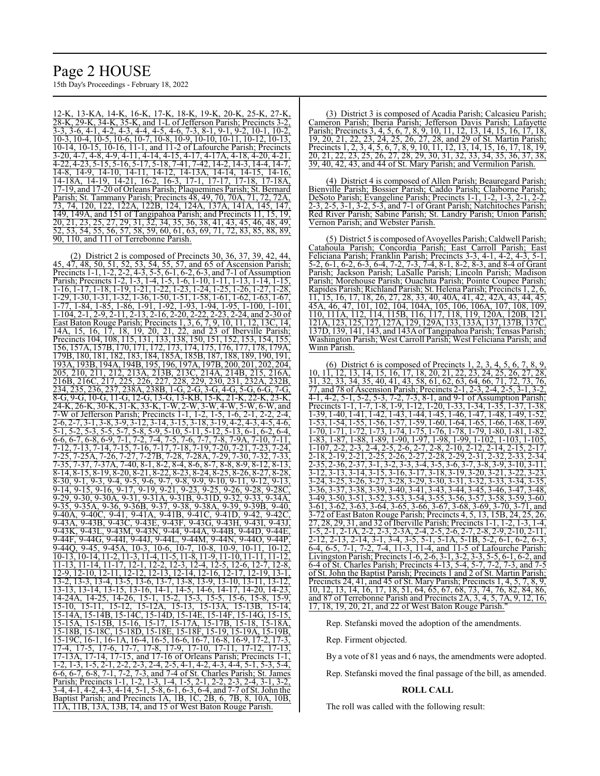# Page 2 HOUSE

15th Day's Proceedings - February 18, 2022

12-K, 13-KA, 14-K, 16-K, 17-K, 18-K, 19-K, 20-K, 25-K, 27-K, 28-K, 29-K, 34-K, 35-K, and 1-L of Jefferson Parish; Precincts 3-2, 3-3, 3-6, 4-1, 4-2, 4-3, 4-4, 4-5, 4-6, 7-3, 8-1, 9-1, 9-2, 10-1, 10-2, 10-3, 10-4, 10-5, 10-6, 10-7, 10-8, 10-9, 10-10, 10-11, 10-12, 10-13, 10-14, 10-15, 10-16, 11-1, and 11-2 of Lafourche Parish; Precincts 3-20, 4-7, 4-8, 4-9, 4-11, 4-14, 4-15, 4-17, 4-17A, 4-18, 4-20, 4-21,  $\frac{1}{4}$ -22, 4-23, 5-15, 5-16, 5-17, 5-18, 7-41, 7-42, 14-2, 14-3, 14-4, 14-7, 14-8, 14-9, 14-10, 14-11, 14-12, 14-13A, 14-14, 14-15, 14-16, 14-18A, 14-19, 14-21, 16-2, 16-3, 17-1, 17-17, 17-18, 17-18A,  $17-19$ ,  $14-12$ ,  $17-19$ , and  $17-20$  of Orleans Parish; Plaquemines Parish; St. Bernard<br>Parish: St. Tammany Parish: Precincts 48, 49, 70, 70A, 71, 72, 72A, Parish; St. Tammany Parish; Precincts 48, 49, 70, 70A, 71, 72, 73, 74, 120, 122, 122A, 122B, 124, 124A, 137A, 141A, 145, 147, 149, 149A, and 151 of Tangipahoa Parish; and Precincts 11, 15, 19, 20, 21, 23, 25, 27, 29, 31, 32, 34, 35, 36, 38, 41, 43, 45, 46, 48, 49,<br>52, 53, 54, 55, 56, 57, 58, 59, 60, 61, 63, 69, 71, 72, 83, 85, 88, 89, 53, 54, 55, 56, 57, 58, 59, 60, 61, 63, 69, 71, 90, 110, and 111 of Terrebonne Parish.

(2) District 2 is composed of Precincts 30, 36, 37, 39, 42, 44, 45, 47, 48, 50, 51, 52, 53, 54, 55, 57, and 65 of Ascension Parish; Precincts 1-1, 1-2, 2-2, 4-3, 5-5, 6-1, 6-2, 6-3, and 7-1 of Assumption Parish; Precincts 1-2, 1-3, 1-4, 1-5, 1-6, 1-10, 1-11, 1-13, 1-14, 1-15, 1-16, 1-17, 1-18, 1-19, 1-21, 1-22, 1-23, 1-24, 1-25, 1-26, 1-27, 1-28,  $\overline{1-29}$ ,  $\overline{1-30}$ ,  $\overline{1-31}$ ,  $\overline{1-32}$ ,  $\overline{1-36}$ ,  $\overline{1-50}$ ,  $\overline{1-51}$ ,  $\overline{1-58}$ ,  $\overline{1-61}$ ,  $\overline{1-62}$ ,  $\overline{1-63}$ ,  $\overline{1-67}$ , 1-77, 1-84, 1-85, 1-86, 1-91, 1-92, 1-93, 1-94, 1-95, 1-100, 1-101, 1-104, 2-1, 2-9, 2-11, 2-13, 2-16, 2-20, 2-22, 2-23, 2-24, and 2-30 of East Baton Rouge Parish; Precincts 1, 3, 6, 7, 9, 10, 11, 12, 13C, 14, 14A, 15, 16, 17, 18, 19, 20, 21, 22, and 23 of Iberville Parish; Precincts 104, 108, 115, 131, 133, 138, 150, 151, 152, 153, 154, 155, 156, 157A, 157B, 170, 171, 172, 173, 174, 175, 176, 177, 178, 179A, 179B, 180, 181, 182, 183, 184, 185A, 185B, 187, 188, 189, 190, 191, 193A, 193B, 194A, 194B, 195, 196, 197A, 197B, 200, 201, 202, 204, 205, 210, 211, 212, 213A, 213B, 213C, 214A, 214B, 215, 216A, 216B, 216C, 217, 225, 226, 227, 228, 229, 230, 231, 232A, 232B, 234, 235, 236, 237, 238A, 238B, 1-G, 2-G, 3-G, 4-G, 5-G, 6-G, 7-G, 8-G, 9-G, 10-G, 11-G, 12-G, 13-G, 13-KB, 15-K, 21-K, 22-K, 23-K, 24-K, 26-K, 30-K, 31-K, 33-K, 1-W, 2-W, 3-W, 4-W, 5-W, 6-W, and 7-W of Jefferson Parish; Precincts 1-1, 1-2, 1-5, 1-6, 2-1, 2-2, 2-4,<br>2-6, 2-7, 3-1, 3-8, 3-9, 3-12, 3-14, 3-15, 3-18, 3-19, 4-2, 4-3, 4-5, 4-6, 2-6, 2-7, 3-1, 3-8, 3-9, 3-12, 3-14, 3-15, 3-18, 3-19, 4-2 5-1, 5-2, 5-3, 5-5, 5-7, 5-8, 5-9, 5-10, 5-11, 5-12, 5-13, 6-1, 6-2, 6-4, 6-6, 6-7, 6-8, 6-9, 7-1, 7-2, 7-4, 7-5, 7-6, 7-7, 7-8, 7-9A, 7-10, 7-11, 7-12, 7-13, 7-14, 7-15, 7-16, 7-17, 7-18, 7-19, 7-20, 7-21, 7-23, 7-24, 7-25, 7-25A, 7-26, 7-27, 7-27B, 7-28, 7-28A, 7-29, 7-30, 7-32, 7-33, 7-35, 7-37, 7-37A, 7-40, 8-1, 8-2, 8-4, 8-6, 8-7, 8-8, 8-9, 8-12, 8-13,  $8-14$ ,  $8-15$ ,  $8-19$ ,  $8-20$ ,  $8-21$ ,  $8-22$ ,  $8-23$ ,  $8-24$ ,  $8-25$ ,  $8-26$ ,  $8-27$ ,  $8-28$ ,  $8-30$ ,  $9-1$ ,  $9-3$ ,  $9-4$ ,  $9-5$ ,  $9-6$ ,  $9-7$ ,  $9-8$ ,  $9-9$ ,  $9-10$ ,  $9-11$ ,  $9-12$ ,  $9-13$ 8-30, 9-1, 9-3, 9-4, 9-5, 9-6, 9-7, 9-8, 9-9, 9-10, 9-11, 9-12, 9-14, 9-15, 9-16, 9-17, 9-19, 9-21, 9-23, 9-25, 9-26, 9-28, 9-28C, 9-29, 9-30, 9-30A, 9-31, 9-31A, 9-31B, 9-31D, 9-32, 9-33, 9-34A, 9-35, 9-35A, 9-36, 9-36B, 9-37, 9-38, 9-40A, 9-40C, 9-41, 9-41A, 9-41B, 9-41C, 9-41D, 9-42, 9-42C, 9-43A, 9-43B, 9-43C, 9-43E, 9-43F, 9-43G, 9-43H, 9-43I, 9-43J, 9-43K, 9-43L, 9-43M, 9-43N, 9-44, 9-44A, 9-44B, 9-44D, 9-44E, 9-44F, 9-44G, 9-44I, 9-44J, 9-44L, 9-44M, 9-44N, 9-44O, 9-44P, 9-44Q, 9-45, 9-45A, 10-3, 10-6, 10-7, 10-8, 10-9, 10-11, 10-12, 10-13, 10-14, 11-2, 11-3, 11-4, 11-5, 11-8, 11-9, 11-10, 11-11, 11-12, 11-13, 11-14, 11-17, 12-1, 12-2, 12-3, 12-4, 12-5, 12-6, 12-7, 12-8, 12-9, 12-10, 12-11, 12-12, 12-13, 12-14, 12-16, 12-17, 12-19, 13-1, 13-2, 13-3, 13-4, 13-5, 13-6, 13-7, 13-8, 13-9, 13-10, 13-11, 13-12, 13-13, 13-14, 13-15, 13-16, 14-1, 14-5, 14-6, 14-17, 14-20, 14-23, 14-24A, 14-25, 14-26, 15-1, 15-2, 15-3, 15-5, 15-6, 15-8, 15-9, 15-10, 15-11, 15-12, 15-12A, 15-13, 15-13A, 15-13B, 15-14, 15-14A, 15-14B, 15-14C, 15-14D, 15-14E, 15-14F, 15-14G, 15-15, 15-15A, 15-15B, 15-16, 15-17, 15-17A, 15-17B, 15-18, 15-18A, 15-18B, 15-18C, 15-18D, 15-18E, 15-18F, 15-19, 15-19A, 15-19B, 15-19C, 16-1, 16-1A, 16-4, 16-5, 16-6, 16-7, 16-8, 16-9, 17-2, 17-3, 17-4, 17-5, 17-6, 17-7, 17-8, 17-9, 17-10, 17-11, 17-12, 17-13, 17-13A, 17-14, 17-15, and 17-16 of Orleans Parish; Precincts 1-1, 1-2, 1-3, 1-5, 2-1, 2-2, 2-3, 2-4, 2-5, 4-1, 4-2, 4-3, 4-4, 5-1, 5-3, 5-4, 6-6, 6-7, 6-8, 7-1, 7-2, 7-3, and 7-4 of St. Charles Parish; St. James Parish; Precincts 1-1, 1-2, 1-3, 1-4, 1-5, 2-1, 2-2, 3-4, 4-1, 4-2, 4-3, 4-14, 5-1, 5-8, 6-1, 6-3, 6-4, and 7-7 of St. John the Baptist Parish; and Precincts 1A, 1B, 1C, 2B, 6, 7B, 8, 10A, 10B, 11A, 11B, 13A, 13B, 14, and 15 of West Baton Rouge Parish.

(3) District 3 is composed of Acadia Parish; Calcasieu Parish; Cameron Parish; Iberia Parish; Jefferson Davis Parish; Lafayette Parish; Precincts 3, 4, 5, 6, 7, 8, 9, 10, 11, 12, 13, 14, 15, 16, 17, 18, 19, 20, 21, 22, 23, 24, 25, 26, 27, 28, and 29 of St. Martin Parish; Precincts 1, 2, 3, 4, 5, 6, 7, 8, 9, 10, 11, 12, 13, 14, 15, 16, 17, 18, 19, 20, 21, 22, 23, 25, 26, 27, 28, 29, 30, 31, 32, 33, 34, 35, 36, 37, 38  $\overline{23, 25, 26, 27, 28, 29, 30, 31, 32, 33, 34, 35, 36, 37, 38}$ 39, 40, 42, 43, and 44 of St. Mary Parish; and Vermilion Parish.

(4) District 4 is composed of Allen Parish; Beauregard Parish; Bienville Parish; Bossier Parish; Caddo Parish; Claiborne Parish; DeSoto Parish; Evangeline Parish; Precincts 1-1, 1-2, 1-3, 2-1, 2-2, 2-3, 2-5, 3-1, 3-2, 5-3, and 7-1 of Grant Parish; Natchitoches Parish; Red River Parish; Sabine Parish; St. Landry Parish; Union Parish; Vernon Parish; and Webster Parish.

(5) District 5 is composed ofAvoyelles Parish; Caldwell Parish; Catahoula Parish; Concordia Parish; East Carroll Parish; East Feliciana Parish; Franklin Parish; Precincts 3-3, 4-1, 4-2, 4-3, 5-1, 5-2, 6-1, 6-2, 6-3, 6-4, 7-2, 7-3, 7-4, 8-1, 8-2, 8-3, and 8-4 of Grant Parish; Jackson Parish; LaSalle Parish; Lincoln Parish; Madison Parish; Morehouse Parish; Ouachita Parish; Pointe Coupee Parish; Rapides Parish; Richland Parish; St. Helena Parish; Precincts 1 11, 15, 16, 17, 18, 26, 27, 28, 33, 40, 40A, 41, 42, 42A, 43, 44, 45, 45A, 46, 47, 101, 102, 104, 104A, 105, 106, 106A, 107, 108, 109, 110, 111A, 112, 114, 115B, 116, 117, 118, 119, 120A, 120B, 121, 121A, 123, 125, 127, 127A, 129, 129A, 133, 133A, 137, 137B, 137C, 137D, 139, 141, 143, and 143A ofTangipahoa Parish; Tensas Parish; Washington Parish; West Carroll Parish; West Feliciana Parish; and Winn Parish.

(6) District 6 is composed of Precincts 1, 2, 3, 4, 5, 6, 7, 8, 9, 10, 11, 12, 13, 14, 15, 16, 17, 18, 20, 21, 22, 23, 24, 25, 26, 27, 28, 31, 32, 33, 34, 35, 40, 41, 43, 58, 61, 62, 63, 64, 66, 71, 72, 73, 76, 77, and 78 of Ascension Parish; Precincts 2-1, 2-3, 2-4, 2-5, 3-1, 3-2,  $1, 5-3, 7-2, 7-3, 8-1,$  and  $9-1$  of Assumption Parish; Precincts 1-1, 1-7, 1-8, 1-9, 1-12, 1-20, 1-33, 1-34, 1-35, 1-37, 1-38, 1-39, 1-40, 1-41, 1-42, 1-43, 1-44, 1-45, 1-46, 1-47, 1-48, 1-49, 1-52, 1-53, 1-54, 1-55, 1-56, 1-57, 1-59, 1-60, 1-64, 1-65, 1-66, 1-68, 1-69, 1-70, 1-71, 1-72, 1-73, 1-74, 1-75, 1-76, 1-78, 1-79, 1-80, 1-81, 1-82, 1-83, 1-87, 1-88, 1-89, 1-90, 1-97, 1-98, 1-99, 1-102, 1-103, 1-105, 1-107, 2-2, 2-3, 2-4, 2-5, 2-6, 2-7, 2-8, 2-10, 2-12, 2-14, 2-15, 2-17,<br>2-18, 2-19, 2-21, 2-25, 2-26, 2-27, 2-28, 2-29, 2-31, 2-32, 2-33, 2-34, 2-18, 2-19, 2-21, 2-25, 2-26, 2-27, 2-28, 2-29, 2-31, 2-32<br>2-33, 2-36, 2-37, 3-1, 3-2, 3-3, 3-4, 3-5, 3-6, 3-7, 3-8, 3-9 2-36, 2-37, 3-1, 3-2, 3-3, 3-4, 3-5, 3-6, 3-7, 3-8, 3-9, 3-10, 3-11<br>3-13, 3-14, 3-15, 3-16, 3-17, 3-18, 3-19, 3-20, 3-21, 3-22, 3-23 3-12, 3-13, 3-14, 3-15, 3-16, 3-17, 3-18, 3-19, 3-20, 3-21, 3-22, 3-23, 3-24, 3-25, 3-26, 3-27, 3-28, 3-29, 3-30, 3-31, 3-32, 3-33, 3-34, 3-35, 3-36, 3-37, 3-38, 3-39, 3-40, 3-41, 3-43, 3-44, 3-45, 3-46, 3-47, 3-48, 3-49, 3-50, 3-51, 3-52, 3-53, 3-54, 3-55, 3-56, 3-57, 3-58, 3-59, 3-60, 3-61, 3-62, 3-63, 3-64, 3-65, 3-66, 3-67, 3-68, 3-69, 3-70, 3-71, and 3-72 of East Baton Rouge Parish; Precincts 4, 5, 13, 15B, 24, 25, 26, 27, 28, 29, 31, and 32 of Iberville Parish; Precincts 1-1, 1-2, 1-3, 1-4, 1-5, 2-1, 2-1A, 2-2, 2-3, 2-3A, 2-4, 2-5, 2-6, 2-7, 2-8, 2-9, 2-10, 2-11, 2-12, 2-13, 2-14, 3-1, 3-4, 3-5, 5-1, 5-1A, 5-1B, 5-2, 6-1, 6-2, 6-3, 6-4, 6-5, 7-1, 7-2, 7-4, 11-3, 11-4, and 11-5 of Lafourche Parish; Livingston Parish; Precincts 1-6, 2-6, 3-1, 3-2, 3-3, 5-5, 6-1, 6-2, and 6-4 of St. Charles Parish; Precincts 4-13, 5-4, 5-7, 7-2, 7-3, and 7-5 of St. John the Baptist Parish; Precincts 1 and 2 of St. Martin Parish; Precincts 24, 41, and 45 of St. Mary Parish; Precincts 1, 4, 5, 7, 8, 9, 10, 12, 13, 14, 16, 17, 18, 51, 64, 65, 67, 68, 73, 74, 76, 82, 84, 86, and 87 of Terrebonne Parish and Precincts 2A, 3, 4, 5, 7A, 9, 12, 16, 17, 18, 19, 20, 21, and 22 of West Baton Rouge Parish."

Rep. Stefanski moved the adoption of the amendments.

Rep. Firment objected.

By a vote of 81 yeas and 6 nays, the amendments were adopted.

Rep. Stefanski moved the final passage of the bill, as amended.

### **ROLL CALL**

The roll was called with the following result: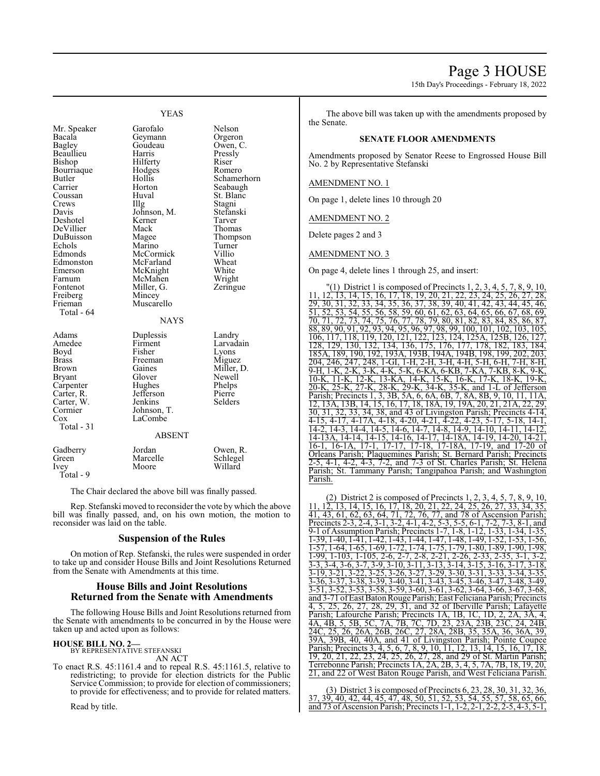# Page 3 HOUSE

15th Day's Proceedings - February 18, 2022

|                                                                                                                                                                                                                                                        | <b>YEAS</b>                                                                                                                                                                                                                                    |                                                                                                                                                                                                                        |
|--------------------------------------------------------------------------------------------------------------------------------------------------------------------------------------------------------------------------------------------------------|------------------------------------------------------------------------------------------------------------------------------------------------------------------------------------------------------------------------------------------------|------------------------------------------------------------------------------------------------------------------------------------------------------------------------------------------------------------------------|
| Mr. Speaker<br>Bacala<br>Bagley<br>Beaullieu<br>Bishop<br>Bourriaque<br>Butler<br>Carrier<br>Coussan<br>Crews<br>Davis<br>Deshotel<br>DeVillier<br>DuBuisson<br>Echols<br>Edmonds<br>Edmonston<br>Emerson<br>Farnum<br>Fontenot<br>Freiberg<br>Frieman | Garofalo<br>Geymann<br>Goudeau<br>Harris<br>Hilferty<br>Hodges<br>Hollis<br>Horton<br>Huval<br>Illg<br>Johnson, M.<br>Kerner<br>Mack<br>Magee<br>Marino<br>McCormick<br>McFarland<br>McKnight<br>McMahen<br>Miller, G.<br>Mincey<br>Muscarello | Nelson<br>Orgeron<br>Owen, C.<br>Pressly<br>Riser<br>Romero<br>Schamerhorn<br>Seabaugh<br>St. Blanc<br>Stagni<br>Stefanski<br>Tarver<br>Thomas<br>Thompson<br>Turner<br>Villio<br>Wheat<br>White<br>Wright<br>Zeringue |
| Total - 64<br>Adams<br>Amedee<br>Boyd<br>Brass<br><b>Brown</b><br><b>Bryant</b><br>Carpenter<br>Carter, R.<br>Carter, W.<br>Cormier<br>$\cos$<br>Total $-31$                                                                                           | <b>NAYS</b><br>Duplessis<br>Firment<br>Fisher<br>Freeman<br>Gaines<br>Glover<br>Hughes<br>Jefferson<br>Jenkins<br>Johnson, T.<br>LaCombe<br><b>ABSENT</b>                                                                                      | Landry<br>Larvadain<br>Lyons<br>Miguez<br>Miller, D.<br>Newell<br>Phelps<br>Pierre<br>Selders                                                                                                                          |
| Gadberry<br>Green<br>Ivey<br>Total - 9                                                                                                                                                                                                                 | Jordan<br>Marcelle<br>Moore                                                                                                                                                                                                                    | Owen, R.<br>Schlegel<br>Willard                                                                                                                                                                                        |

The Chair declared the above bill was finally passed.

Rep. Stefanski moved to reconsider the vote by which the above bill was finally passed, and, on his own motion, the motion to reconsider was laid on the table.

# **Suspension of the Rules**

On motion of Rep. Stefanski, the rules were suspended in order to take up and consider House Bills and Joint Resolutions Returned from the Senate with Amendments at this time.

# **House Bills and Joint Resolutions Returned from the Senate with Amendments**

The following House Bills and Joint Resolutions returned from the Senate with amendments to be concurred in by the House were taken up and acted upon as follows:

#### **HOUSE BILL NO. 2—**

BY REPRESENTATIVE STEFANSKI AN ACT

To enact R.S. 45:1161.4 and to repeal R.S. 45:1161.5, relative to redistricting; to provide for election districts for the Public Service Commission; to provide for election of commissioners; to provide for effectiveness; and to provide for related matters.

Read by title.

The above bill was taken up with the amendments proposed by the Senate.

#### **SENATE FLOOR AMENDMENTS**

Amendments proposed by Senator Reese to Engrossed House Bill No. 2 by Representative Stefanski

# AMENDMENT NO. 1

On page 1, delete lines 10 through 20

#### AMENDMENT NO. 2

Delete pages 2 and 3

#### AMENDMENT NO. 3

On page 4, delete lines 1 through 25, and insert:

(1) District 1 is composed of Precincts 1, 2, 3, 4, 5, 7, 8, 9, 10 11, 12, 13, 14, 15, 16, 17, 18, 19, 20, 21, 22, 23, 24, 25, 26, 27, 28, 29, 30, 31, 32, 33, 34, 35, 36, 37, 38, 39, 40, 41, 42, 43, 44, 45, 46,  $\frac{51}{51}$ ,  $\frac{52}{52}$ ,  $\frac{51}{53}$ ,  $\frac{51}{54}$ ,  $\frac{55}{56}$ ,  $\frac{56}{58}$ ,  $\frac{59}{59}$ ,  $\frac{60}{50}$ ,  $\frac{61}{50}$ ,  $\frac{62}{50}$ ,  $\frac{64}{50}$ ,  $\frac{65}{50}$ ,  $\frac{66}{50}$ ,  $\frac{67}{50}$ ,  $\frac{68}{50}$ ,  $\frac{69}{50}$ 70, 71, 72, 73, 74, 75, 76, 77, 78, 79, 80, 81, 82, 83, 84, 85, 86, 87, 88, 89, 90, 91, 92, 93, 94, 95, 96, 97, 98, 99, 100, 101, 102, 103, 105, 106, 117, 118, 119, 120, 121, 122, 123, 124, 125A, 125B, 126, 127, 128, 129, 130, 132, 134, 136, 175, 176, 177, 178, 182, 183, 184, 185A, 189, 190, 192, 193A, 193B, 194A, 194B, 198, 199, 202, 203, 246, 247, 248, 1-GI, 1-H, 2-H, 3-H, 4-H, 5-H, 6-H, 7-H, 8-H, 9-H, 1-K, 2-K, 3-K, 4-K, 5-K, 6-KA, 6-KB, 7-KA, 7-KB, 8-K 10-K, 11-K, 12-K, 13-KA, 14-K, 15-K, 16-K, 17-K, 18-K, 19-K<br>20-K, 25-K, 27-K, 28-K, 29-K, 34-K, 35-K, and 1-L of Jeffersor 25-K, 27-K, 28-K, 29-K, 34-K, 35-K, and 1-L of Jefferson Parish; Precincts 1, 3, 3B, 5A, 6, 6A, 6B, 7, 8A, 8B, 9, 10, 11, 11A, 12, 13A, 13B, 14, 15, 16, 17, 18, 18, 19, 19, 20, 21, 21, 22, 29 12, 13A, 13B, 14, 15, 16, 17, 18, 18A, 19, 19A, 20, 21, 21A, 22, 29, 30, 31, 32, 33, 34, 38, and 43 of Livingston Parish; Precincts 4-14, 4-15, 4-17, 4-17A, 4-18, 4-20, 4-21, 4-22, 4-23, 5-17, 5-18, 14-1, 14-2, 14-3, 14-4, 14-5, 14-6, 14-7, 14-8, 14-9, 14-10, 14-11, 14-12, 14-13A, 14-14, 14-15, 14-16, 14-17, 14-18A, 14-19, 14-20, 14-21, 16-1, 16-1A, 17-1, 17-17, 17-18, 17-18A, 17-19, and 17-20 of Orleans Parish; Plaquemines Parish; St. Bernard Parish; Precincts 2-5, 4-1, 4-2, 4-3, 7-2, and 7-3 of St. Charles Parish; St. Helena Parish; St. Tammany Parish; Tangipahoa Parish; and Washington Parish.

(2) District 2 is composed of Precincts 1, 2, 3, 4, 5, 7, 8, 9, 10, 11, 12, 13, 14, 15, 16, 17, 18, 20, 21, 22, 24, 25, 26, 27, 33, 34, 35, 11, 13, 14, 15, 16, 17, 18, 20, 21, 22, 24, 41, 43, 61, 62, 63, 64, 71, 72, 76, 77, and 78 of Ascension Parish; Precincts 2-3, 2-4, 3-1, 3-2, 4-1, 4-2, 5-3, 5-5, 6-1, 7-2, 7-3, 8-1, and 9-1 of Assumption Parish; Precincts 1-7, 1-8, 1-12, 1-33, 1-34, 1-35, 1-39, 1-40, 1-41, 1-42, 1-43, 1-44, 1-47, 1-48, 1-49, 1-52, 1-53, 1-56, 1-57, 1-64, 1-65, 1-69, 1-72, 1-74, 1-75, 1-79, 1-80, 1-89, 1-90, 1-98, 1-99, 1-103, 1-105, 2-6, 2-7, 2-8, 2-21, 2-26, 2-33, 2-35, 3-1,<br>3-3 3-4 3-6 3-7 3-9 3-10 3-11 3-13 3-14 3-15 3-16 3-17  $\frac{3}{2}$ -4, 3-6, 3-7, 3-9, 3-10, 3-11, 3-13, 3-14, 3-15, 3-16, 3-17, 3-18<br>
3. 3-21, 3-22, 3-25, 3-26, 3-27, 3-29, 3-30, 3-31, 3-33, 3-34, 3-35 3-19, 3-21, 3-22, 3-25, 3-26, 3-27, 3-29, 3-30, 3-31, 3-33, 3-34, 3-35, 3-36, 3-37, 3-38, 3-39, 3-40, 3-41, 3-43, 3-45, 3-46, 3-47, 3-48, 3-49<br>3-51, 3-52, 3-53, 3-58, 3-59, 3-60, 3-61, 3-62, 3-64, 3-66, 3-67, 3-68  $\frac{3}{2}$ , 3-53, 3-58, 3-59, 3-60, 3-61, 3-62 and 3-71 ofEast BatonRouge Parish; East Feliciana Parish; Precincts 4, 5, 25, 26, 27, 28, 29, 31, and 32 of Iberville Parish; Lafayette Parish; Lafourche Parish; Precincts 1A, 1B, 1C, 1D, 2, 2A, 3A 4A, 4B, 5, 5B, 5C, 7A, 7B, 7C, 7D, 23, 23A, 23B, 23C, 24, 24B, 24C, 25, 26, 26A, 26B, 26C, 27, 28A, 28B, 35, 35A, 36, 36A, 39, 36A, 39, 36A, 39, 36A, 39, 36A, 39, 36A, 39, 39A, 39B, 40, 40A, and 41 of Livingston Parish; Pointe Coupee Parish; Precincts 3, 4, 5, 6, 7, 8, 9, 10, 11, 12, 13, 14, 15, 16, 17, 18, 19, 20, 21, 22, 23, 24, 25, 26, 27, 28, and 29 of St. Martin Parish; 1, 23, 24, 25, 26, 27, 28, and 29 of St. Martin Parish; Terrebonne Parish; Precincts 1A, 2A, 2B, 3, 4, 5, 7A, 7B, 18, 19, 20, 21, and 22 of West Baton Rouge Parish, and West Feliciana Parish.

(3) District 3 is composed of Precincts 6, 23, 28, 30, 31, 32, 36, 37, 39, 40, 42, 44, 45, 47, 48, 50, 51, 52, 53, 54, 55, 57, 58, 65, 66, and 73 of Ascension Parish; Precincts 1-1, 1-2, 2-1,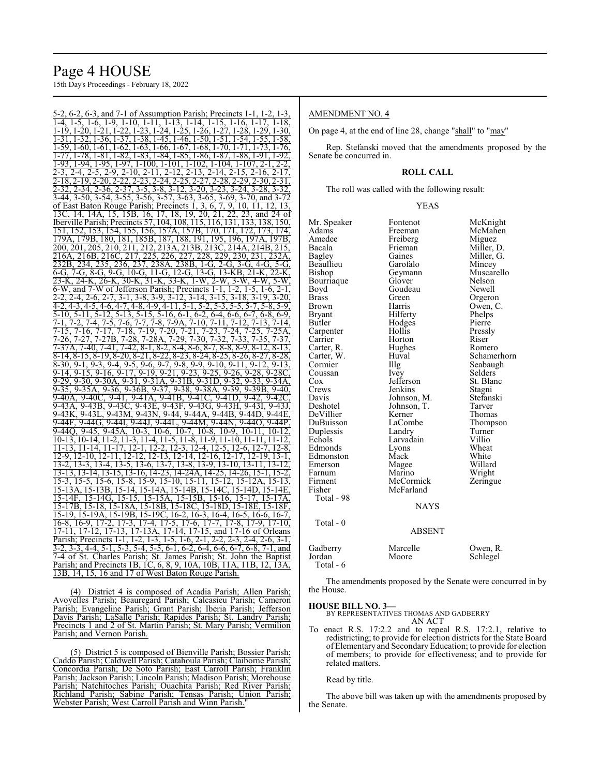# Page 4 HOUSE

15th Day's Proceedings - February 18, 2022

5-2, 6-2, 6-3, and 7-1 of Assumption Parish; Precincts 1-1, 1-2, 1-3,  $\frac{1}{1}$  -  $\frac{1}{2}$ ,  $\frac{1}{2}$ ,  $\frac{1}{2}$ ,  $\frac{1}{2}$ ,  $\frac{1}{2}$ ,  $\frac{1}{2}$ ,  $\frac{1}{2}$ ,  $\frac{1}{2}$ ,  $\frac{1}{2}$ ,  $\frac{1}{2}$ ,  $\frac{1}{2}$ ,  $\frac{1}{2}$ ,  $\frac{1}{2}$ ,  $\frac{1}{2}$ ,  $\frac{1}{2}$ ,  $\frac{1}{2}$ ,  $\frac{1}{2}$ ,  $\frac{1}{2}$ ,  $\frac{1}{2}$ , 1-19, 1-20, 1-21, 1-22, 1-23, 1-24, 1-25, 1-26, 1-27, 1-28, 1-29, 1-30, 1-31, 1-32, 1-36, 1-37, 1-38, 1-45, 1-46, 1-50, 1-51, 1-54, 1-55, 1-58, 1-59, 1-60, 1-61, 1-62, 1-63, 1-66, 1-67, 1-68, 1-70, 1-71, 1-73, 1-76, 1-77, 1-78, 1-81, 1-82, 1-83, 1-84, 1-85, 1-86, 1-87, 1-88, 1-91, 1-92, 1-93, 1-94, 1-95, 1-97, 1-100, 1-101, 1-102, 1-104, 1-107, 2-1, 2-2, 2-3, 2-4, 2-5, 2-9, 2-10, 2-11, 2-12, 2-13, 2-14, 2-15, 2-16, 2-17, 2-18, 2-19, 2-20, 2-22, 2-23, 2-24, 2-25, 2-27, 2-28, 2-29, 2-30, 2-31, 2-32, 2-34, 2-36, 2-37, 3-5, 3-8, 3-12, 3-20, 3-23, 3-24, 3-28, 3-32, 3-44, 3-50, 3-54, 3-55, 3-56, 3-57, 3-63, 3-65, 3-69, 3-70, and 3-72<br>of East Baton Rouge Parish; Precincts 1, 3, 6, 7, 9, 10, 11, 12, 13, of East Baton Rouge Parish; Precincts 1, 3, 6, 7, 9, 10, 11, 12, 13 13C, 14, 14A, 15, 15B, 16, 17, 18, 19, 20, 21, 22, 23, and 24 of Iberville Parish; Precincts 57, 104, 108, 115, 116, 131, 133, 138, 150, 151, 152, 153, 154, 155, 156, 157A, 157B, 170, 171, 172, 173, 174, 179A, 179B, 180, 181, 185B, 187, 188, 191, 195, 196, 197A, 197B,<br>200, 201, 205, 210, 211, 212, 213A, 213B, 213C, 214A, 214B, 215, 200, 201, 205, 210, 211, 212, 213A, 213B, 213C, 214A, 214B, 215, 216A, 216B, 216C, 217, 225, 226, 227, 228, 229, 230, 231, 232A, 232B, 234, 235, 236, 237, 238A, 238B, 1-G, 2-G, 3-G, 4-G, 5-G, 232B, 234, 235, 236, 237, 238A, 238B, 1-G, 2-G, 3-G, 4-G, 5-G, 6-G, 7-G, 8-G, 10-G, 11-G, 12-G, 13-G, 13-KB, 21-K, 22-K,<br>6-G, 7-G, 8-G, 9-G, 10-G, 11-G, 12-G, 13-G, 13-KB, 21-K, 22-K,<br>23-K, 24-K, 26-K, 30-K, 31-K, 33-K, 1-23-K, 24-K, 26-K, 30-K, 31-K, 33-K, 1-W, 2-W, 3-W, 4-W, 6-W, and 7-W of Jefferson Parish; Precincts 1-1, 1-2, 1-5, 1-6, 2-1, 2-2, 2-4, 2-6, 2-7, 3-1, 3-8, 3-9, 3-12, 3-14, 3-15, 3-18, 3-19, 3-20,  $\frac{25}{3}$ ,  $\frac{27}{3}$ ,  $\frac{27}{3}$ ,  $\frac{27}{3}$ ,  $\frac{27}{3}$ ,  $\frac{27}{3}$ ,  $\frac{27}{3}$ ,  $\frac{27}{3}$ ,  $\frac{27}{3}$ ,  $\frac{27}{3}$ ,  $\frac{27}{3}$ ,  $\frac{27}{3}$ ,  $\frac{27}{3}$ ,  $\frac{27}{3}$ ,  $\frac{27}{3}$ ,  $\frac{27}{3}$ ,  $\frac{27}{3}$ ,  $\frac{27}{3}$ ,  $\frac{2$ 5-10, 5-11, 5-12, 5-13, 5-15, 5-16, 6-1, 6-2, 6-4, 6-6, 6-7, 6-8, 6-9, 7-1, 7-2, 7-4, 7-5, 7-6, 7-7, 7-8, 7-9A, 7-10, 7-11, 7-12, 7-13, 7-14, 7-15, 7-16, 7-17, 7-18, 7-19, 7-20, 7-21, 7-23, 7-24, 7-25, 7-25A, 7-26, 7-27, 7-27B, 7-28, 7-28A, 7-29, 7-30, 7-32, 7-33, 7-35, 7-37, 7-37A, 7-40, 7-41, 7-42, 8-1, 8-2, 8-4, 8-6, 8-7, 8-8, 8-9, 8-12, 8-13, 8-14, 8-15, 8-19, 8-20, 8-21, 8-22, 8-23, 8-24, 8-25, 8-26, 8-27, 8-28,  $\overline{8-30}, \overline{9-1}, \overline{9-3}, \overline{9-4}, \overline{9-5}, \overline{9-6}, \overline{9-7}, \overline{9-8}, \overline{9-9}, \overline{9-10}, \overline{9-11}, \overline{9-12}, \overline{9-13},$ 9-14, 9-15, 9-16, 9-17, 9-19, 9-21, 9-23, 9-25, 9-26, 9-28, 9-28C, 9-29, 9-30, 9-30A, 9-31, 9-31A, 9-31B, 9-31D, 9-32, 9-33, 9-34A, 9-35, 9-35A, 9-36, 9-36B, 9-37, 9-38, 9-38A, 9-39, 9-39B, 9-40, 9-40A, 9-40C, 9-41, 9-41A, 9-41B, 9-41C, 9-41D, 9-42, 9-42C, 9-43A, 9-43B, 9-43C, 9-43E, 9-43F, 9-43G, 9-43H, 9-43I, 9-43J, 9-43K, 9-43L, 9-43M, 9-43N, 9-44, 9-44A, 9-44B, 9-44D, 9-44E, 9-44F, 9-44G, 9-44I, 9-44J, 9-44L, 9-44M, 9-44N, 9-44O, 9-44P, 9-44Q, 9-45, 9-45A, 10-3, 10-6, 10-7, 10-8, 10-9, 10-11, 10-12, 10-13, 10-14, 11-2, 11-3, 11-4, 11-5, 11-8, 11-9, 11-10, 11-11, 11-12,  $\frac{1}{11-13}$ , 11-14, 11-17, 12-1, 12-2, 12-3, 12-4, 12-5, 12-6, 12-7, 12-8, 12-9, 12-10, 12-11, 12-12, 12-13, 12-14, 12-16, 12-17, 12-19, 13-1, 13-2, 13-3, 13-4, 13-5, 13-6, 13-7, 13-8, 13-9, 13-10, 13-11, 13-12, 13-13, 13-14, 13-15, 13-16, 14-23, 14-24A, 14-25, 14-26, 15-1, 15-2, 15-3, 15-5, 15-6, 15-8, 15-9, 15-10, 15-11, 15-12, 15-12A, 15-13, 15-13A, 15-13B, 15-14, 15-14A, 15-14B, 15-14C, 15-14D, 15-14E, 15-14F, 15-14G, 15-15, 15-15A, 15-15B, 15-16, 15-17, 15-17A, 15-17B, 15-18, 15-18A, 15-18B, 15-18C, 15-18D, 15-18E, 15-18F, 15-19, 15-19A, 15-19B, 15-19C, 16-2, 16-3, 16-4, 16-5, 16-6, 16-7, 16-8, 16-9, 17-2, 17-3, 17-4, 17-5, 17-6, 17-7, 17-8, 17-9, 17-10, 17-11, 17-12, 17-13, 17-13A, 17-14, 17-15, and 17-16 of Orleans Parish; Precincts 1-1, 1-2, 1-3, 1-5, 1-6, 2-1, 2-2, 2-3, 2-4, 2-6, 3-1, 3-2, 3-3, 4-4, 5-1, 5-3, 5-4, 5-5, 6-1, 6-2, 6-4, 6-6, 6-7, 6-8, 7-1, and 7-4 of St. Charles Parish; St. James Parish; St. John the Baptist Parish; and Precincts 1B, 1C, 6, 8, 9, 10A, 10B, 11A, 11B, 12, 13A, 13B, 14, 15, 16 and 17 of West Baton Rouge Parish.

(4) District 4 is composed of Acadia Parish; Allen Parish; Avoyelles Parish; Beauregard Parish; Calcasieu Parish; Cameron Parish; Evangeline Parish; Grant Parish; Iberia Parish; Jefferson Davis Parish; LaSalle Parish; Rapides Parish; St. Landry Parish; Precincts 1 and 2 of St. Martin Parish; St. Mary Parish; Vermilion Parish; and Vernon Parish.

(5) District 5 is composed of Bienville Parish; Bossier Parish; Caddo Parish; Caldwell Parish; Catahoula Parish; Claiborne Parish; Concordia Parish; De Soto Parish; East Carroll Parish; Franklin Parish; Jackson Parish; Lincoln Parish; Madison Parish; Morehouse Parish; Natchitoches Parish; Ouachita Parish; Red River Parish; Richland Parish; Sabine Parish; Tensas Parish; Union Parish; Webster Parish; West Carroll Parish and Winn Parish."

# AMENDMENT NO. 4

On page 4, at the end of line 28, change "shall" to "may"

Rep. Stefanski moved that the amendments proposed by the Senate be concurred in.

### **ROLL CALL**

The roll was called with the following result:

#### YEAS

| Mr. Speaker<br>Adams | Fontenot      | McKnight<br>McMahen |
|----------------------|---------------|---------------------|
| Amedee               | Freeman       |                     |
|                      | Freiberg      | Miguez              |
| Bacala               | Frieman       | Miller, D.          |
| Bagley               | Gaines        | Miller, G.          |
| Beaullieu            | Garofalo      | Mincey              |
| Bishop               | Geymann       | Muscarello          |
| Bourriaque           | Glover        | Nelson              |
| Boyd                 | Goudeau       | Newell              |
| <b>Brass</b>         | Green         | Orgeron             |
| Brown                | Harris        | Owen, C.            |
| Bryant               | Hilferty      | Phelps              |
| Butler               | Hodges        | Pierre              |
| Carpenter            | Hollis        | Pressly             |
| Carrier              | Horton        | Riser               |
| Carter, R.           | Hughes        | Romero              |
| Carter, W.           | Huval         | Schamerhorn         |
| Cormier              | Illg          | Seabaugh            |
| Coussan              | Ivey          | Selders             |
| Cox                  | Jefferson     | St. Blanc           |
| Crews                | Jenkins       | Stagni              |
| Davis                | Johnson, M.   | Stefanski           |
| Deshotel             | Johnson, T.   | Tarver              |
| DeVillier            | Kerner        | Thomas              |
| DuBuisson            | LaCombe       | Thompson            |
| Duplessis            | Landry        | Turner              |
| Echols               | Larvadain     | Villio              |
| Edmonds              | Lyons         | Wheat               |
| Edmonston            | Mack          | White               |
| Emerson              | Magee         | Willard             |
| Farnum               | Marino        | Wright              |
| Firment              | McCormick     | Zeringue            |
| Fisher               | McFarland     |                     |
| Total - 98           |               |                     |
|                      | NAYS          |                     |
| Total - 0            |               |                     |
|                      | <b>ABSENT</b> |                     |
|                      |               |                     |
| Gadberry             | Marcelle      | Owen, R.            |
| Jordan               | Moore         | Schlegel            |
| Total - 6            |               |                     |

The amendments proposed by the Senate were concurred in by the House.

**HOUSE BILL NO. 3—** BY REPRESENTATIVES THOMAS AND GADBERRY AN ACT

To enact R.S. 17:2.2 and to repeal R.S. 17:2.1, relative to redistricting; to provide for election districts for the State Board of Elementary and SecondaryEducation; to provide for election of members; to provide for effectiveness; and to provide for related matters.

#### Read by title.

The above bill was taken up with the amendments proposed by the Senate.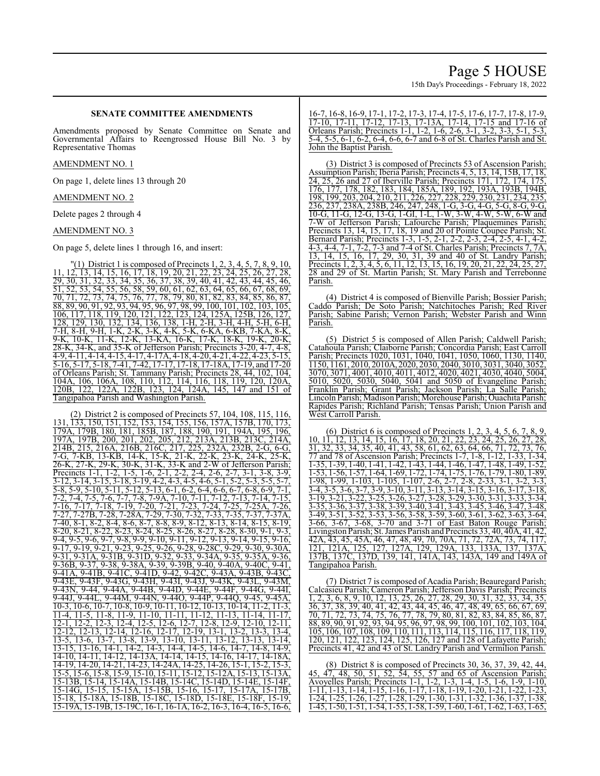# **SENATE COMMITTEE AMENDMENTS**

Amendments proposed by Senate Committee on Senate and Governmental Affairs to Reengrossed House Bill No. 3 by Representative Thomas

#### AMENDMENT NO. 1

On page 1, delete lines 13 through 20

AMENDMENT NO. 2

Delete pages 2 through 4

# AMENDMENT NO. 3

On page 5, delete lines 1 through 16, and insert:

 $\Gamma(1)$  District 1 is composed of Precincts 1, 2, 3, 4, 5, 7, 8, 9, 10, 11, 12, 13, 14, 15, 16, 17, 18, 19, 20, 21, 22, 23, 24, 25, 26, 27, 28, 29, 30, 31, 32, 33, 34, 35, 36, 37, 38, 39, 40, 41, 42, 43, 44, 45, 46, 51, 52, 53, 54, 55, 56, 58, 59, 60, 61, 62, 63, 64, 65, 66, 67, 68, 69, 70, 71, 72, 73, 74, 75, 76, 77, 78, 79, 80, 81, 82, 83, 84, 85, 86, 87, 88, 89, 90, 91, 92, 93, 94, 95, 96, 97, 98, 99, 100, 101, 102, 103, 105, 106, 117, 118, 119, 120, 121, 122, 123, 124, 125A, 125B, 126, 127, 128, 129, 130, 132, 134, 136, 138, 1-H, 2-H, 3-H, 4-H, 5-H, 6-H, 7-H, 8-H, 9-H, 1-K, 2-K, 3-K, 4-K, 5-K, 6-KA, 6-KB, 7-KA, 8-K, 9-K, 10-K, 11-K, 12-K, 13-KA, 16-K, 17-K, 18-K, 19-K, 20-K, 28-K, 34-K, and 35-K of Jefferson Parish; Precincts 3-20, 4-7, 4-8, 4-9, 4-11, 4-14, 4-15, 4-17, 4-17A, 4-18, 4-20, 4-21, 4-22, 4-23, 5-15, 5-16, 5-17, 5-18, 7-41, 7-42, 17-17, 17-18, 17-18A, 17-19, and 17-20 of Orleans Parish; St. Tammany Parish; Precincts 28, 44, 102, 104, 104A, 106, 106A, 108, 110, 112, 114, 116, 118, 119, 120, 120A, 120B, 122, 122A, 122B, 123, 124, 124A, 145, 147 and 151 of Tangipahoa Parish and Washington Parish.

(2) District 2 is composed of Precincts 57, 104, 108, 115, 116, 131, 133, 150, 151, 152, 153, 154, 155, 156, 157A, 157B, 170, 173, 179A, 179B, 180, 181, 185B, 187, 188, 190, 191, 194A, 195, 196, 197A, 197B, 200, 201, 202, 205, 212, 213A, 213B, 213C, 214A, 214B, 215, 216A, 216B, 216C, 217, 225, 232A, 232B, 2-G, 6-G, 7-G, 7-KB, 13-KB, 14-K, 15-K, 21-K, 22-K, 23-K, 24-K, 25-K, 26-K, 27-K, 29-K, 30-K, 31-K, 33-K and 2-W of Jefferson Parish; Precincts 1-1, 1-2, 1-5, 1-6, 2-1, 2-2, 2-4, 2-6, 2-7, 3-1, 3-8, 3-9, 3-12, 3-14, 3-15, 3-18, 3-19, 4-2, 4-3, 4-5, 4-6, 5-1, 5-2, 5-3, 5-5, 5-7,  $\frac{5}{5}$ -8, 5-9, 5-10, 5-11, 5-12, 5-13, 6-1, 6-2, 6-4, 6-6, 6-7, 6-8, 6-9, 7-1, 7-2, 7-4, 7-5, 7-6, 7-7, 7-8, 7-9A, 7-10, 7-11, 7-12, 7-13, 7-14, 7-15,<br>7-16, 7-17, 7-18, 7-19, 7-20, 7-21, 7-23, 7-24, 7-25, 7-25A, 7-26, 7-16, 7-17, 7-18, 7-19, 7-20, 7-21, 7-23, 7-24, 7-25, 7-25A, 7-26, 7-27, 7-27B, 7-28, 7-28A, 7-29, 7-30, 7-32, 7-33, 7-35, 7-37, 7-37A, 7-40, 8-1, 8-2, 8-4, 8-6, 8-7, 8-8, 8-9, 8-12, 8-13, 8-14, 8-15, 8-19, 8-20, 8-21, 8-22, 8-23, 8-24, 8-25, 8-26, 8-27, 8-28, 8-30, 9-1, 9-3,  $\frac{9}{9}$ -4, 9-5, 9-6, 9-7, 9-8, 9-9, 9-10, 9-11, 9-12, 9-13, 9-14, 9-15, 9-16, 9-17, 9-19, 9-21, 9-23, 9-25, 9-26, 9-28, 9-28C, 9-29, 9-30, 9-30A, 9-31, 9-31A, 9-31B, 9-31D, 9-32, 9-33, 9-34A, 9-35, 9-35A, 9-36, 9-36B, 9-37, 9-38, 9-38A, 9-39, 9-39B, 9-40, 9-40A, 9-40C, 9-41, 9-41A, 9-41B, 9-41C, 9-41D, 9-42, 9-42C, 9-43A, 9-43B, 9-43C, 9-43E, 9-43F, 9-43G, 9-43H, 9-43I, 9-43J, 9-43K, 9-43L, 9-43M, 9-43N, 9-44, 9-44A, 9-44B, 9-44D, 9-44E, 9-44F, 9-44G, 9-44I, 9-44J, 9-44L, 9-44M, 9-44N, 9-44O, 9-44P, 9-44Q, 9-45, 9-45A, 10-3, 10-6, 10-7, 10-8, 10-9, 10-11, 10-12, 10-13, 10-14, 11-2, 11-3, 11-4, 11-5, 11-8, 11-9, 11-10, 11-11, 11-12, 11-13, 11-14, 11-17, 12-1, 12-2, 12-3, 12-4, 12-5, 12-6, 12-7, 12-8, 12-9, 12-10, 12-11, 12-12, 12-13, 12-14, 12-16, 12-17, 12-19, 13-1, 13-2, 13-3, 13-4, 13-5, 13-6, 13-7, 13-8, 13-9, 13-10, 13-11, 13-12, 13-13, 13-14, 13-15, 13-16, 14-1, 14-2, 14-3, 14-4, 14-5, 14-6, 14-7, 14-8, 14-9, 14-10, 14-11, 14-12, 14-13A, 14-14, 14-15, 14-16, 14-17, 14-18A, 14-19, 14-20, 14-21, 14-23, 14-24A, 14-25, 14-26, 15-1, 15-2, 15-3, 15-5, 15-6, 15-8, 15-9, 15-10, 15-11, 15-12, 15-12A, 15-13, 15-13A, 15-13B, 15-14, 15-14A, 15-14B, 15-14C, 15-14D, 15-14E, 15-14F, 15-14G, 15-15, 15-15A, 15-15B, 15-16, 15-17, 15-17A, 15-17B, 15-18, 15-18A, 15-18B, 15-18C, 15-18D, 15-18E, 15-18F, 15-19, 15-19A, 15-19B, 15-19C, 16-1, 16-1A, 16-2, 16-3, 16-4, 16-5, 16-6,

16-7, 16-8, 16-9, 17-1, 17-2, 17-3, 17-4, 17-5, 17-6, 17-7, 17-8, 17-9, 17-10, 17-11, 17-12, 17-13, 17-13A, 17-14, 17-15 and 17-16 of Orleans Parish; Precincts 1-1, 1-2, 1-6, 2-6, 3-1, 3-2, 3-3, 5-1, 5-3, 5-4, 5-5, 6-1, 6-2, 6-4, 6-6, 6-7 and 6-8 of St. Charles Parish and St. John the Baptist Parish.

(3) District 3 is composed of Precincts 53 of Ascension Parish; Assumption Parish; Iberia Parish; Precincts 4, 5, 13, 14, 15B, 17, 18, 24, 25, 26 and 27 of Iberville Parish; Precincts 171, 172, 174, 175, 176, 177, 178, 182, 183, 184, 185A, 189, 192, 193A, 193B, 194B, 198, 199, 203, 204, 210, 211, 226, 227, 228, 229, 230, 231, 234, 235, 236, 237, 238A, 238B, 246, 247, 248, 1-G, 3-G, 4-G, 5-G, 8-G, 9-G, 10-G, 11-G, 12-G, 13-G, 1-GI, 1-L, 1-W, 3-W, 4-W, 5-W, 6-W and 7-W of Jefferson Parish; Lafourche Parish; Plaquemines Parish; Precincts 13, 14, 15, 17, 18, 19 and 20 of Pointe Coupee Parish; St. Bernard Parish; Precincts 1-3, 1-5, 2-1, 2-2, 2-3, 2-4, 2-5, 4-1, 4-2, 4-3, 4-4, 7-1, 7-2, 7-3 and 7-4 of St. Charles Parish; Precincts 7, 7A, 13, 14, 15, 16, 17, 29, 30, 31, 39 and 40 of St. Landry Parish; Precincts 1, 2, 3, 4, 5, 6, 11, 12, 13, 15, 16, 19, 20, 21, 22, 24, 25, 27, 28 and 29 of St. Martin Parish; St. Mary Parish and Terrebonne Parish.

(4) District 4 is composed of Bienville Parish; Bossier Parish; Caddo Parish; De Soto Parish; Natchitoches Parish; Red River Parish; Sabine Parish; Vernon Parish; Webster Parish and Winn Parish.

(5) District 5 is composed of Allen Parish; Caldwell Parish; Catahoula Parish; Claiborne Parish; Concordia Parish; East Carroll Parish; Precincts 1020, 1031, 1040, 1041, 1050, 1060, 1130, 1140, 1150, 1161, 2010, 2010A, 2020, 2030, 2040, 3010, 3031, 3040, 3052, 3070, 3071, 4001, 4010, 4011, 4012, 4020, 4021, 4030, 4040, 5004, 5010, 5020, 5030, 5040, 5041 and 5050 of Evangeline Parish; Franklin Parish; Grant Parish; Jackson Parish; La Salle Parish; Lincoln Parish; Madison Parish; Morehouse Parish; Ouachita Parish; Rapides Parish; Richland Parish; Tensas Parish; Union Parish and West Carroll Parish.

(6) District 6 is composed of Precincts 1, 2, 3, 4, 5, 6, 7, 8, 9, 10, 11, 12, 13, 14, 15, 16, 17, 18, 20, 21, 22, 23, 24, 25, 26, 27, 28, 31, 32, 33, 34, 35, 40, 41, 43, 58, 61, 62, 63, 64, 66, 71, 72, 73, 76, 77 and 78 of Ascension Parish; Precincts 1-7, 1-8, 1-12, 1-33, 1-34, 1-35, 1-39, 1-40, 1-41, 1-42, 1-43, 1-44, 1-46, 1-47, 1-48, 1-49, 1-52, 1-53, 1-56, 1-57, 1-64, 1-69, 1-72, 1-74, 1-75, 1-76, 1-79, 1-80, 1-89, 1-98, 1-99, 1-103, 1-105, 1-107, 2-6, 2-7, 2-8, 2-33, 3-1, 3-2, 3-3, 3-4, 3-5, 3-4, 3-5, 3-4, 3-5, 3-4, 3-5, 3<br>3-4, 3-5, 3-6, 3-7, 3-9, 3-10, 3-11, 3-13, 3-14, 3-15, 3-16, 3-17, 3-18 3-4, 3-5, 3-6, 3-7, 3-9, 3-10, 3-11, 3-13, 3-14, 3-15, 3-16, 3-17, 3-18, 3-19, 3-21, 3-22, 3-25, 3-26, 3-27, 3-28, 3-29, 3-30, 3-31, 3-33, 3-34, 3-35, 3-36, 3-37, 3-38, 3-39, 3-40, 3-41, 3-43, 3-45, 3-46, 3-47, 3-48, 3-49, 3-51, 3-52, 3-53, 3-56, 3-58, 3-59, 3-60, 3-61, 3-62, 3-63, 3-64, 3-66, 3-67, 3-68, 3-70 and 3-71 of East Baton Rouge Parish; Livingston Parish; St. James Parish and Precincts 33, 40, 40A, 41, 42, 42A, 43, 45, 45A, 46, 47, 48, 49, 70, 70A, 71, 72, 72A, 73, 74, 117, 121, 121A, 125, 127, 127A, 129, 129A, 133, 133A, 137, 137A, 137B, 137C, 137D, 139, 141, 141A, 143, 143A, 149 and 149A of Tangipahoa Parish.

(7) District 7 is composed of Acadia Parish; Beauregard Parish; Calcasieu Parish; Cameron Parish; Jefferson Davis Parish; Precincts 1, 2, 3, 6, 8, 9, 10, 12, 13, 25, 26, 27, 28, 29, 30, 31, 32, 33, 34, 35, 36, 37, 38, 39, 40, 41, 42, 43, 44, 45, 46, 47, 48, 49, 65, 66, 67, 69, 70, 71, 72, 73, 74, 75, 76, 77, 78, 79, 80, 81, 82, 83, 84, 85, 86, 87, 88, 89, 90, 91, 92, 93, 94, 95, 96, 97, 98, 99, 100, 101, 102, 103, 104, 105, 106, 107, 108, 109, 110, 111, 113, 114, 115, 116, 117, 118, 119, 120, 121, 122, 123, 124, 125, 126, 127 and 128 of Lafayette Parish; Precincts 41, 42 and 43 of St. Landry Parish and Vermilion Parish.

(8) District 8 is composed of Precincts 30, 36, 37, 39, 42, 44, 45, 47, 48, 50, 51, 52, 54, 55, 57 and 65 of Ascension Parish; Avoyelles Parish; Precincts 1-1, 1-2, 1-3, 1-4, 1-5, 1-6, 1-9, 1-10, 1-11, 1-13, 1-14, 1-15, 1-16, 1-17, 1-18, 1-19, 1-20, 1-21, 1-22, 1-23, 1-24, 1-25, 1-26, 1-27, 1-28, 1-29, 1-30, 1-31, 1-32, 1-36, 1-37, 1-38, 1-45, 1-50, 1-51, 1-54, 1-55, 1-58, 1-59, 1-60, 1-61, 1-62, 1-63, 1-65,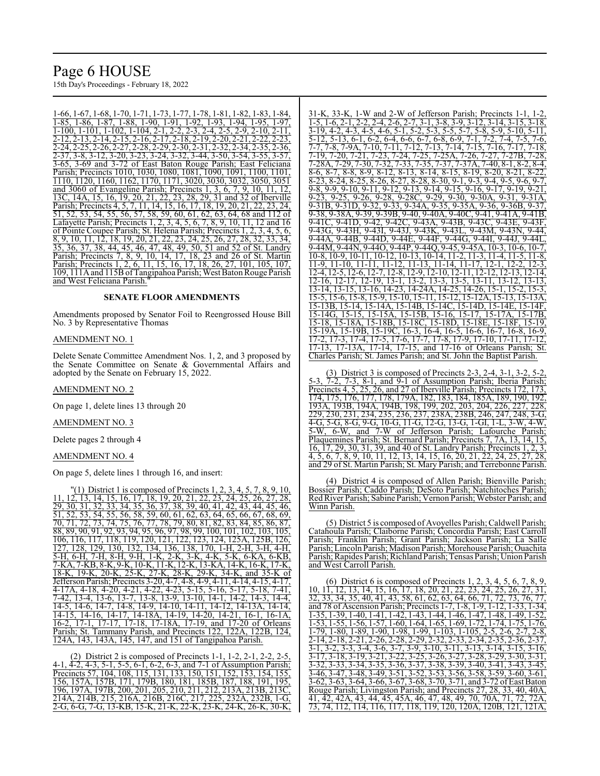# Page 6 HOUSE

15th Day's Proceedings - February 18, 2022

1-66, 1-67, 1-68, 1-70, 1-71, 1-73, 1-77, 1-78, 1-81, 1-82, 1-83, 1-84, 1-85, 1-86, 1-87, 1-88, 1-90, 1-91, 1-92, 1-93, 1-94, 1-95, 1-97, 1-100, 1-101, 1-102, 1-104, 2-1, 2-2, 2-3, 2-4, 2-5, 2-9, 2-10, 2-11, 2-12, 2-13, 2-14, 2-15, 2-16, 2-17, 2-18, 2-19, 2-20, 2-21, 2-22, 2-23, 2-24, 2-25, 2-26, 2-27, 2-28, 2-29, 2-30, 2-31, 2-32, 2-34, 2-35, 2-36, 2-37, 3-8, 3-12, 3-20, 3-23, 3-24, 3-32, 3-44, 3-50, 3-54, 3-55, 3-57, 3-83, 3-57, 3-83, 3-72, 3-83, 3-72, 3-8<br>3-65. 3-69 and 3-72 of East Baton Rouge Parish; East Feliciana 3-65, 3-69 and 3-72 of East Baton Rouge Parish; East Feliciana Parish; Precincts 1010, 1030, 1080, 1081, 1090, 1091, 1100, 1101, 1110, 1120, 1160, 1162, 1170, 1171, 3020, 3030, 3032, 3050, 3051 and 3060 of Evangeline Parish; Precincts 1, 3, 6, 7, 9, 10, 11, 12, 13C, 14A, 15, 16, 19, 20, 21, 22, 23, 28, 29, 31 and 32 of Iberville Parish; Precincts 4, 5, 7, 11, 14, 15, 16, 17, 18, 19, 20, 21, 22, 23, 24, 51, 52, 53, 54, 55, 56, 57, 58, 59, 60, 61, 62, 63, 64, 68 and 112 of Lafayette Parish; Precincts 1, 2, 3, 4, 5, 6, 7, 8, 9, 10, 11, 12 and 16 of Pointe Coupee Parish; St. Helena Parish; Precincts 1, 2, 3, 4, 5, 6, 8, 9, 10, 11, 12, 18, 19, 20, 21, 22, 23, 24, 25, 26, 27, 28, 32, 33, 34, 35, 36, 37, 38, 44, 45, 46, 47, 48, 49, 50, 51 and 52 of St. Landry Parish; Precincts 7, 8, 9, 10, 14, 17, 18, 23 and 26 of St. Martin Parish; Precincts 1, 2, 6, 11, 15, 16, 17, 18, 26, 27, 101, 105, 107, 109, 111Aand 115B ofTangipahoa Parish; West BatonRouge Parish and West Feliciana Parish.

#### **SENATE FLOOR AMENDMENTS**

Amendments proposed by Senator Foil to Reengrossed House Bill No. 3 by Representative Thomas

# AMENDMENT NO. 1

Delete Senate Committee Amendment Nos. 1, 2, and 3 proposed by the Senate Committee on Senate & Governmental Affairs and adopted by the Senate on February 15, 2022.

#### AMENDMENT NO. 2

On page 1, delete lines 13 through 20

#### AMENDMENT NO. 3

Delete pages 2 through 4

#### AMENDMENT NO. 4

On page 5, delete lines 1 through 16, and insert:

"(1) District 1 is composed of Precincts  $1, 2, 3, 4, 5, 7, 8, 9, 10$ , 11, 12, 13, 14, 15, 16, 17, 18, 19, 20, 21, 22, 23, 24, 25, 26, 27, 28, 29, 30, 31, 32, 33, 34, 35, 36, 37, 38, 39, 40, 41, 42, 43, 44, 45, 46, 51, 52, 53, 54, 55, 56, 58, 59, 60, 61, 62, 63, 64, 65, 66, 67, 68, 69, 70, 71, 72, 73, 74, 75, 76, 77, 78, 79, 80, 81, 82, 83, 84, 85, 86, 87, 88, 89, 90, 91, 92, 93, 94, 95, 96, 97, 98, 99, 100, 101, 102, 103, 105, 106, 116, 117, 118, 119, 120, 121, 122, 123, 124, 125A, 125B, 126, 127, 128, 129, 130, 132, 134, 136, 138, 170, 1-H, 2-H, 3-H, 4-H, 5-H, 6-H, 7-H, 8-H, 9-H, 1-K, 2-K, 3-K, 4-K, 5-K, 6-KA, 6-KB, 7-KA, 7-KB, 8-K, 9-K, 10-K, 11-K, 12-K, 13-KA, 14-K, 16-K, 17-K, 18-K, 19-K, 20-K, 25-K, 27-K, 28-K, 29-K, 34-K, and 35-K of Jefferson Parish; Precincts 3-20, 4-7, 4-8, 4-9, 4-11, 4-14, 4-15, 4-17, 4-17A, 4-18, 4-20, 4-21, 4-22, 4-23, 5-15, 5-16, 5-17, 5-18, 7-41, 7-42, 13-4, 13-6, 13-7, 13-8, 13-9, 13-10, 14-1, 14-2, 14-3, 14-4, 14-5, 14-6, 14-7, 14-8, 14-9, 14-10, 14-11, 14-12, 14-13A, 14-14, 14-15, 14-16, 14-17, 14-18A, 14-19, 14-20, 14-21, 16-1, 16-1A, 16-2, 17-1, 17-17, 17-18, 17-18A, 17-19, and 17-20 of Orleans Parish; St. Tammany Parish, and Precincts 122, 122A, 122B, 124, 124A, 143, 143A, 145, 147, and 151 of Tangipahoa Parish.

(2) District 2 is composed of Precincts 1-1, 1-2, 2-1, 2-2, 2-5, 4-1, 4-2, 4-3, 5-1, 5-5, 6-1, 6-2, 6-3, and 7-1 of Assumption Parish; Precincts 57, 104, 108, 115, 131, 133, 150, 151, 152, 153, 154, 155. 156, 157A, 157B, 171, 179B, 180, 181, 185B, 187, 188, 191, 195, 196, 197A, 197B, 200, 201, 205, 210, 211, 212, 213A, 213B, 213C, 214A, 214B, 215, 216A, 216B, 216C, 217, 225, 232A, 232B, 1-G, 2-G, 6-G, 7-G, 13-KB, 15-K, 21-K, 22-K, 23-K, 24-K, 26-K, 30-K,

33-K, 1-W and 2-W of Jefferson Parish; Precincts 1-1 1-5, 1-6, 2-1, 2-2, 2-4, 2-6, 2-7, 3-1, 3-8, 3-9, 3-12, 3-14, 3-15, 3-18, 3-19, 4-2, 4-3, 4-5, 4-6, 5-1, 5-2, 5-3, 5-5, 5-7, 5-8, 5-9, 5-10, 5-11,<br>5-12, 5-13, 6-1, 6-2, 6-4, 6-6, 6-7, 6-8, 6-9, 7-1, 7-2, 7-4, 7-5, 7-6, 5-12, 5-13, 6-1, 6-2, 6-4, 6-6, 6-7, 6-8, 6-9, 7-1, 7-2, 7-4, 7-5, 7-6, 7-7, 7-8, 7-9A, 7-10, 7-11, 7-12, 7-13, 7-14, 7-15, 7-16, 7-17, 7-18,<br>7-19, 7-20, 7-21, 7-23, 7-24, 7-25, 7-25A, 7-26, 7-27, 7-27B, 7-28, , 7-24, 7-25, 7-25A, 7-26, 7-27, 7-28A, 7-29, 7-30, 7-32, 7-33, 7-35, 7-37, 7-37A, 7-40, 8-1, 8-2, 8-4, 8-6, 8-7, 8-8, 8-9, 8-12, 8-13, 8-14, 8-15, 8-19, 8-20, 8-21, 8-22,  $8-23$ ,  $8-24$ ,  $8-25$ ,  $8-26$ ,  $8-27$ ,  $8-28$ ,  $8-30$ ,  $9-1$ ,  $9-3$ ,  $9-4$ ,  $9-5$ ,  $9-6$ <br> $9-8$   $9-9$   $9-10$   $9-11$   $9-12$   $9-13$   $9-14$   $9-15$   $9-16$   $9-17$   $9-19$ 9-8, 9-9, 9-10, 9-11, 9-12, 9-13, 9-14, 9-15, 9-16, 9-17, 9-19, 9-21, 9-23, 9-25, 9-26, 9-28, 9-28C, 9-29, 9-30, 9-30A, 9-31, 9-31A, 9-31B, 9-31D, 9-32, 9-33, 9-34A, 9-35, 9-35A, 9-36, 9-36B, 9-37, 9-38, 9-38A, 9-39, 9-39B, 9-40, 9-40A, 9-40C, 9-41, 9-41A, 9-41B, 9-41C, 9-41D, 9-42, 9-42C, 9-43A, 9-43B, 9-43C, 9-43E, 9-43F, 9-43G, 9-43H, 9-43I, 9-43J, 9-43K, 9-43L, 9-43M, 9-43N, 9-44, 9-44A, 9-44B, 9-44D, 9-44E, 9-44F, 9-44G, 9-44I, 9-44J, 9-44L, 9-44M, 9-44N, 9-44O, 9-44P, 9-44Q, 9-45, 9-45A, 10-3, 10-6, 10-7, 10-8, 10-9, 10-11, 10-12, 10-13, 10-14, 11-2, 11-3, 11-4, 11-5, 11-8, 11-9, 11-10, 11-11, 11-12, 11-13, 11-14, 11-17, 12-1, 12-2, 12-3, 12-4, 12-5, 12-6, 12-7, 12-8, 12-9, 12-10, 12-11, 12-12, 12-13, 12-14, 12-16, 12-17, 12-19, 13-1, 13-2, 13-3, 13-5, 13-11, 13-12, 13-13, 13-14, 13-15, 13-16, 14-23, 14-24A, 14-25, 14-26, 15-1, 15-2, 15-3, 15-5, 15-6, 15-8, 15-9, 15-10, 15-11, 15-12, 15-12A, 15-13, 15-13A, 15-13B, 15-14, 15-14A, 15-14B, 15-14C, 15-14D, 15-14E, 15-14F, 15-14G, 15-15, 15-15A, 15-15B, 15-16, 15-17, 15-17A, 15-17B, 15-18, 15-18A, 15-18B, 15-18C, 15-18D, 15-18E, 15-18F, 15-19, 15-19A, 15-19B, 15-19C, 16-3, 16-4, 16-5, 16-6, 16-7, 16-8, 16-9, 17-2, 17-3, 17-4, 17-5, 17-6, 17-7, 17-8, 17-9, 17-10, 17-11, 17-12, 17-13, 17-13A, 17-14, 17-15, and 17-16 of Orleans Parish; St. Charles Parish; St. James Parish; and St. John the Baptist Parish.

District 3 is composed of Precincts 2-3, 2-4, 3-1, 3-2 5-3, 7-2, 7-3, 8-1, and 9-1 of Assumption Parish; Iberia Parish; Precincts 4, 5, 25, 26, and 27 of Iberville Parish; Precincts 172, 173, 174, 175, 176, 177, 178, 179A, 182, 183, 184, 185A, 189, 190, 192, 193A, 193B, 194A, 194B, 198, 199, 202, 203, 204, 226, 227, 228, 229, 230, 231, 234, 235, 236, 237, 238A, 238B, 246, 247, 248, 3-G, 4-G, 5-G, 8-G, 9-G, 10-G, 11-G, 12-G, 13-G, 1-GI, 1-L, 3-W, 4-W, 5-W, 6-W, and 7-W of Jefferson Parish; Lafourche Parish; Plaquemines Parish; St. Bernard Parish; Precincts 7, 7A, 13, 14, 15, 16, 17, 29, 30, 31, 39, and 40 of St. Landry Parish; Precincts 1, 2, 3, 4, 5, 6, 7, 8, 9, 10, 11, 12, 13, 14, 15, 16, 20, 21, 22, 24, 25, 27, 28, and 29 of St. Martin Parish; St. Mary Parish; and Terrebonne Parish.

(4) District 4 is composed of Allen Parish; Bienville Parish; Bossier Parish; Caddo Parish; DeSoto Parish; Natchitoches Parish; RedRiver Parish; Sabine Parish; Vernon Parish; Webster Parish; and Winn Parish.

(5) District 5 is composed of Avoyelles Parish; Caldwell Parish; Catahoula Parish; Claiborne Parish; Concordia Parish; East Carroll Parish; Franklin Parish; Grant Parish; Jackson Parish; La Salle Parish; Lincoln Parish; Madison Parish; Morehouse Parish; Ouachita Parish; Rapides Parish; Richland Parish;Tensas Parish; Union Parish and West Carroll Parish.

(6) District 6 is composed of Precincts 1, 2, 3, 4, 5, 6, 7, 8, 9, 10, 11, 12, 13, 14, 15, 16, 17, 18, 20, 21, 22, 23, 24, 25, 26, 27, 31, 32, 33, 34, 35, 40, 41, 43, 58, 61, 62, 63, 64, 66, 71, 72, 73, 76, 77, and 78 of Ascension Parish; Precincts 1-7, 1-8, 1-9, 1-12, 1-33, 1-34, 1-35, 1-39, 1-40, 1-41, 1-42, 1-43, 1-44, 1-46, 1-47, 1-48, 1-49, 1-52, 1-53, 1-55, 1-56, 1-57, 1-60, 1-64, 1-65, 1-69, 1-72, 1-74, 1-75, 1-76, 1-79, 1-80, 1-89, 1-90, 1-98, 1-99, 1-103, 1-105, 2-5, 2-6, 2-7, 2-8, 2-14, 2-18, 2-21, 2-26, 2-28, 2-29, 2-32, 2-33, 2-34, 2-35, 2-36, 2-37, 3-1, 3-2, 3-3, 3-4, 3-6, 3-7, 3-9, 3-10, 3-11, 3-13, 3-14, 3-15, 3-16, 3-17, 3-18, 3-19, 3-21, 3-22, 3-25, 3-26, 3-27, 3-28, 3-29, 3-30, 3-31, 3-32, 3-33, 3-34, 3-35, 3-36, 3-37, 3-38, 3-39, 3-40, 3-41, 3-43, 3-45, 3-46, 3-47, 3-48, 3-49, 3-51, 3-52, 3-53, 3-56, 3-58, 3-59, 3-60, 3-61, 3-62, 3-63, 3-64, 3-66, 3-67, 3-68, 3-70, 3-71, and 3-72 ofEast Baton Rouge Parish; Livingston Parish; and Precincts 27, 28, 33, 40, 40A, 41, 42, 42A, 43, 44, 45, 45A, 46, 47, 48, 49, 70, 70A, 71, 72<br>73, 74, 112, 114, 116, 117, 118, 119, 120, 120A, 120B, 121, 73, 74, 112, 114, 116, 117, 118, 119, 120, 120A, 120B, 121, 121A,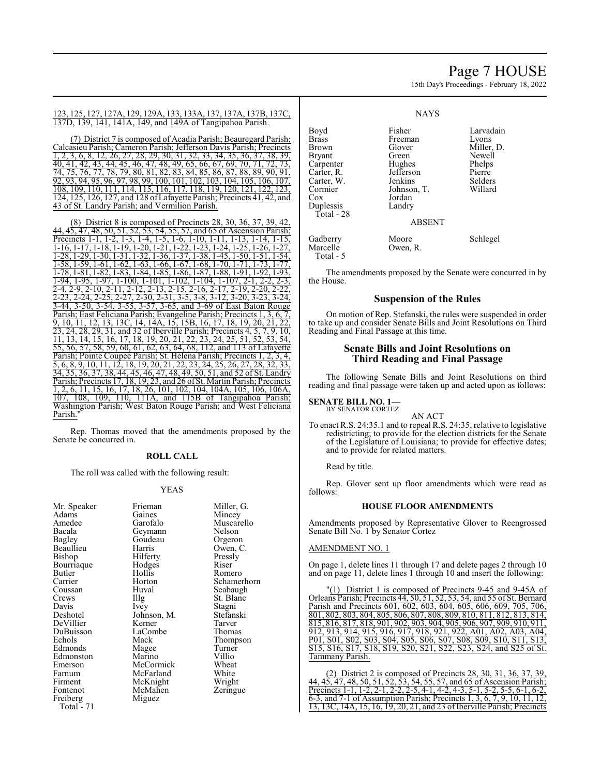# Page 7 HOUSE

15th Day's Proceedings - February 18, 2022

#### 123, 125, 127, 127A, 129, 129A, 133, 133A, 137, 137A, 137B, 137C, 137D, 139, 141, 141A, 149, and 149A of Tangipahoa Parish.

(7) District 7 is composed of Acadia Parish; Beauregard Parish; Calcasieu Parish; Cameron Parish; Jefferson Davis Parish; Precincts 1, 2, 3, 6, 8, 12, 26, 27, 28, 29, 30, 31, 32, 33, 34, 35, 36, 37, 38, 39, 40, 41, 42, 43, 44, 45, 46, 47, 48, 49, 65, 66, 67, 69, 70, 71, 72, 74, 75, 76, 77, 78, 79, 80, 81, 82, 83, 84, 85, 86, 87, 88, 89, 90, 91, 92, 93, 94, 95, 96, 97, 98, 99, 100, 101, 102, 103, 104, 105, 106, 107, 108, 109, 110, 111, 114, 115, 116, 117, 118, 119, 120, 121, 122, 123, 124, 125, 126, 127, and 128 ofLafayette Parish; Precincts 41, 42, and 43 of St. Landry Parish; and Vermilion Parish.

(8) District 8 is composed of Precincts 28, 30, 36, 37, 39, 42, 44,  $4\overline{5}$ ,  $4\overline{7}$ ,  $48$ ,  $50$ ,  $51$ ,  $52$ ,  $53$ ,  $54$ ,  $55$ ,  $57$ , and  $65$  of Ascension Parish;<br>Precincts 1-1, 1-2, 1-3, 1-4, 1-5, 1-6, 1-10, 1-11, 1-13, 1-14, 1-15, Precincts 1-1, 1-2, 1-3, 1-4, 1-5, 1-6, 1-10, 1-11, 1-13, 1-14, 1-15, 1-16, 1-17, 1-18, 1-19, 1-20, 1-21, 1-22, 1-23, 1-24, 1-25, 1-26, 1-27, 1-28, 1-29, 1-30, 1-31, 1-32, 1-36, 1-37, 1-38, 1-45, 1-50, 1-51, 1-54, 1-58, 1-59, 1-61, 1-62, 1-63, 1-66, 1-67, 1-68, 1-70, 1-71, 1-73, 1-77, 1-78, 1-81, 1-82, 1-83, 1-84, 1-85, 1-86, 1-87, 1-88, 1-91, 1-92, 1-93, 1-94, 1-95, 1-97, 1-100, 1-101, 1-102, 1-104, 1-107, 2-1, 2-2, 2-3,<br>2-4, 2-9, 2-10, 2-11, 2-12, 2-13, 2-15, 2-16, 2-17, 2-19, 2-20, 2-22, 2-4, 2-9, 2-10, 2-11, 2-12, 2-13, 2-15, 2-16, 2-17, 2-19, 2-20, 2-22, 2-23, 2-24, 2-25, 2-27, 2-30, 2-31, 3-5, 3-8, 3-12, 3-20, 3-23, 3-24, 3-44, 3-50, 3-54, 3-55, 3-57, 3-65, and 3-69 of East Baton Rouge Parish; East Feliciana Parish; Evangeline Parish; Precincts 1, 3, 6, 7, 9, 10, 11, 12, 13, 13C, 14, 14A, 15, 15B, 16, 17, 18, 19, 20, 21, 22, 23, 24, 28, 29, 31, and 32 of Iberville Parish; Precincts 4, 5, 7, 9, 10, 11, 13, 14, 15, 16, 17, 18, 19, 20, 21, 22, 23, 24, 25, 51, 52, 53, 54, 55, 56, 57, 58, 59, 60, 61, 62, 63, 64, 68, 112, and 113 of Lafayette Parish; Pointe Coupee Parish; St. Helena Parish; Precincts 1, 2, 3, 4, 5, 6, 8, 9, 10, 11, 12, 18, 19, 20, 21, 22, 23, 24, 25, 26, 27, 28, 32, 33, 34, 35, 36, 37, 38, 44, 45, 46, 47, 48, 49, 50, 51, and 52 of St. Landry Parish; Precincts 17, 18, 19, 23, and 26 ofSt. Martin Parish; Precincts 1, 2, 6, 11, 15, 16, 17, 18, 26, 101, 102, 104, 104A, 105, 106, 106A, 107, 108, 109, 110, 111A, and 115B of Tangipahoa Parish; Washington Parish; West Baton Rouge Parish; and West Feliciana Parish.

Rep. Thomas moved that the amendments proposed by the Senate be concurred in.

#### **ROLL CALL**

The roll was called with the following result:

# YEAS

| Mr. Speaker | Frieman            | Miller, G.  |
|-------------|--------------------|-------------|
| Adams       | Gaines             | Mincey      |
| Amedee      | Garofalo           | Muscarello  |
| Bacala      |                    | Nelson      |
|             | Geymann<br>Goudeau |             |
| Bagley      |                    | Orgeron     |
| Beaullieu   | Harris             | Owen, C.    |
| Bishop      | Hilferty           | Pressly     |
| Bourriaque  | Hodges             | Riser       |
| Butler      | Hollis             | Romero      |
| Carrier     | Horton             | Schamerhorn |
| Coussan     | Huval              | Seabaugh    |
| Crews       | $\prod_{i=1}^{n}$  | St. Blanc   |
| Davis       | <i>lvey</i>        | Stagni      |
| Deshotel    | Johnson, M.        | Stefanski   |
| DeVillier   | Kerner             | Tarver      |
| DuBuisson   | LaCombe            | Thomas      |
| Echols      | Mack               | Thompson    |
| Edmonds     | Magee              | Turner      |
| Edmonston   | Marino             | Villio      |
| Emerson     | McCormick          | Wheat       |
| Farnum      | McFarland          | White       |
| Firment     | McKnight           | Wright      |
| Fontenot    | McMahen            | Zeringue    |
| Freiberg    | Miguez             |             |
| Total - 71  |                    |             |

### **NAYS**

Boyd Fisher Larvadain<br>Brass Freeman Lyons Brass Freeman<br>Brown Glover Glover Miller, D.<br>Green Newell Bryant Green Newell Carpenter Hughes Phelps<br>Carter, R. Jefferson Pierre Carter, R. Jefferson Pierre Carter, W. Jenkins Selders Cormier Johnson, T.<br>Cox Jordan Jordan<br>Landry Duplessis Total - 28 ABSENT Gadberry Moore Schlegel<br>Marcelle Owen, R. Schlegel Owen, R.

The amendments proposed by the Senate were concurred in by the House.

# **Suspension of the Rules**

On motion of Rep. Stefanski, the rules were suspended in order to take up and consider Senate Bills and Joint Resolutions on Third Reading and Final Passage at this time.

# **Senate Bills and Joint Resolutions on Third Reading and Final Passage**

The following Senate Bills and Joint Resolutions on third reading and final passage were taken up and acted upon as follows:

#### **SENATE BILL NO. 1—** BY SENATOR CORTEZ

Total - 5

AN ACT

To enact R.S. 24:35.1 and to repeal R.S. 24:35, relative to legislative redistricting; to provide for the election districts for the Senate of the Legislature of Louisiana; to provide for effective dates; and to provide for related matters.

Read by title.

Rep. Glover sent up floor amendments which were read as follows:

#### **HOUSE FLOOR AMENDMENTS**

Amendments proposed by Representative Glover to Reengrossed Senate Bill No. 1 by Senator Cortez

# AMENDMENT NO. 1

On page 1, delete lines 11 through 17 and delete pages 2 through 10 and on page 11, delete lines 1 through 10 and insert the following:

"(1) District 1 is composed of Precincts 9-45 and 9-45A of Orleans Parish; Precincts 44, 50, 51, 52, 53, 54, and 55 of St. Bernard Parish and Precincts 601, 602, 603, 604, 605, 606, 609, 705, 706, 801, 802, 803, 804, 805, 806, 807, 808, 809, 810, 811, 812, 813, 814, 815, 816, 817, 818, 901, 902, 903, 904, 905, 906, 907, 909, 910, 911, 912, 913, 914, 915, 916, 917, 918, 921, 922, A01, A02, A03, A04, P01, S01, S02, S03, S04, S05, S06, S07, S08, S09, S10, S11, S13, S15, S16, S17, S18, S19, S20, S21, S22, S23, S24, and S25 of St. Tammany Parish.

(2) District 2 is composed of Precincts 28, 30, 31, 36, 37, 39, 44, 45, 47, 48, 50, 51, 52, 53, 54, 55, 57, and 65 of Ascension Parish; Precincts 1-1, 1-2, 2-1, 2-2, 2-5, 4-1, 4-2, 4-3, 5-1, 5-2, 5-5, 6-1, 6-2, 6-3, and 7-1 of Assumption Parish; Precincts 1, 3, 6, 7, 9, 10, 11, 12, 13, 13C, 14A, 15, 16, 19, 20, 21, and 23 of Iberville Parish; Precincts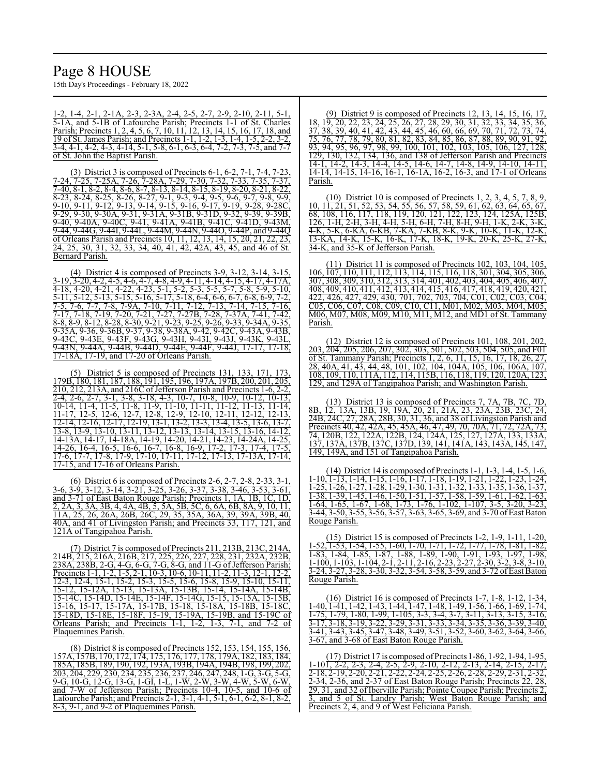# Page 8 HOUSE

15th Day's Proceedings - February 18, 2022

1-2, 1-4, 2-1, 2-1A, 2-3, 2-3A, 2-4, 2-5, 2-7, 2-9, 2-10, 2-11, 5-1, 5-1A, and 5-1B of Lafourche Parish; Precincts 1-1 of St. Charles Parish; Precincts 1, 2, 4, 5, 6, 7, 10, 11, 12, 13, 14, 15, 16, 17, 18, and 19 of St. James Parish; and Precincts 1-1, 1-2, 1-3, 1-4, 1-5, 2-2, 3-2, 3-4, 4-1, 4-2, 4-3, 4-14, 5-1, 5-8, 6-1, 6-3, 6-4, 7-2, 7-3, 7-5, and 7-7 of St. John the Baptist Parish.

(3) District 3 is composed of Precincts 6-1, 6-2, 7-1, 7-4, 7-23, 7-24, 7-25, 7-25A, 7-26, 7-28A, 7-29, 7-30, 7-32, 7-33, 7-35, 7-37, 7-40, 8-1, 8-2, 8-4, 8-6, 8-7, 8-13, 8-14, 8-15, 8-19, 8-20, 8-21, 8-22, 8-23, 8-24, 8-25, 8-26, 8-27, 9-1, 9-3, 9-4, 9-5, 9-6, 9-7, 9-8, 9-9, 9-10, 9-11, 9-12, 9-13, 9-14, 9-15, 9-16, 9-17, 9-19, 9-28, 9-28C, 9-29, 9-30, 9-30A, 9-31, 9-31A, 9-31B, 9-31D, 9-32, 9-39, 9-39B, 9-40, 9-40A, 9-40C, 9-41, 9-41A, 9-41B, 9-41C, 9-41D, 9-43M,  $\frac{9-40}{9-44}$ ,  $\frac{9-401}{9-440}$ ,  $\frac{9-441}{9-441}$ ,  $\frac{9-441}{9-440}$ ,  $\frac{9-440}{9-440}$ ,  $\frac{9-440}{9-440}$ of Orleans Parish and Precincts 10, 11, 12, 13, 14, 15, 20, 21, 22, 23, 24, 25, 30, 31, 32, 33, 34, 40, 41, 42, 42A, 43, 45, and 46 of St. Bernard Parish.

(4) District 4 is composed of Precincts 3-9, 3-12, 3-14, 3-15, 3-19, 3-20, 4-2, 4-5, 4-6, 4-7, 4-8, 4-9, 4-11, 4-14, 4-15, 4-17, 4-17A, 4-18, 4-20, 4-21, 4-22, 4-23, 5-1, 5-2, 5-3, 5-5, 5-7, 5-8, 5-9, 5-10, 5-11, 5-12, 5-13, 5-15, 5-16, 5-17, 5-18, 6-4, 6-6, 6-7, 6-8, 6-9, 7-2, 7-5, 7-6, 7-7, 7-8, 7-9A, 7-10, 7-11, 7-12, 7-13, 7-14, 7-15, 7-16, 7-17, 7-18, 7-19, 7-20, 7-21, 7-27, 7-27B, 7-28, 7-37A, 7-41, 7-42, 8-8, 8-9, 8-12, 8-28, 8-30, 9-21, 9-23, 9-25, 9-26, 9-33, 9-34A, 9-35, 9-35A, 9-36, 9-36B, 9-37, 9-38, 9-38A, 9-42, 9-42C, 9-43A, 9-43B, 9-43C, 9-43E, 9-43F, 9-43G, 9-43H, 9-43I, 9-43J, 9-43K, 9-43L, 9-43N, 9-44A, 9-44B, 9-44D, 9-44E, 9-44F, 9-44J, 17-17, 17-18, 17-18A, 17-19, and 17-20 of Orleans Parish.

(5) District 5 is composed of Precincts 131, 133, 171, 173, 179B, 180, 181, 187, 188, 191, 195, 196, 197A, 197B, 200, 201, 205, 210, 212, 213A, and 216C ofJefferson Parish and Precincts 1-6, 2-2, 2-4, 2-6, 2-7, 3-1, 3-8, 3-18, 4-3, 10-7, 10-8, 10-9, 10-12, 10-13, 10-14, 11-4, 11-5, 11-8, 11-9, 11-10, 11-11, 11-12, 11-13, 11-14, 11-17, 12-5, 12-6, 12-7, 12-8, 12-9, 12-10, 12-11, 12-12, 12-13, 12-14, 12-16, 12-17, 12-19, 13-1, 13-2, 13-3, 13-4, 13-5, 13-6, 13-7, 13-8, 13-9, 13-10, 13-11, 13-12, 13-13, 13-14, 13-15, 13-16, 14-12, 14-13A, 14-17, 14-18A, 14-19, 14-20, 14-21, 14-23, 14-24A, 14-25, 14-26, 16-4, 16-5, 16-6, 16-7, 16-8, 16-9, 17-2, 17-3, 17-4, 17-5, 17-6, 17-7, 17-8, 17-9, 17-10, 17-11, 17-12, 17-13, 17-13A, 17-14, 17-15, and 17-16 of Orleans Parish.

(6) District 6 is composed of Precincts 2-6, 2-7, 2-8, 2-33, 3-1, 3-6, 3-9, 3-12, 3-14, 3-21, 3-25, 3-26, 3-37, 3-38, 3-46, 3-53, 3-61, and 3-71 of East Baton Rouge Parish; Precincts 1, 1A, 1B, 1C, 1D, 2, 2A, 3, 3A, 3B, 4, 4A, 4B, 5, 5A, 5B, 5C, 6, 6A, 6B, 8A, 9, 10, 11, 11A, 25, 26, 26A, 26B, 26C, 29, 35, 35A, 36A, 39, 39A, 39B, 40, 40A, and 41 of Livingston Parish; and Precincts 33, 117, 121, and 121A of Tangipahoa Parish.

(7) District 7 is composed of Precincts 211, 213B, 213C, 214A, 214B, 215, 216A, 216B, 217, 225, 226, 227, 228, 231, 232A, 232B,  $238A, 238B, 2-G, 4-G, 6-G, 7-G, 8-G, and 11-G of Jefferson Paris,$ Precincts 1-1, 1-2, 1-5, 2-1, 10-3, 10-6, 10-11, 11-2, 11-3, 12-1, 12-2, 12-3, 12-4, 15-1, 15-2, 15-3, 15-5, 15-6, 15-8, 15-9, 15-10, 15-11, 15-12, 15-12A, 15-13, 15-13A, 15-13B, 15-14, 15-14A, 15-14B, 15-14C, 15-14D, 15-14E, 15-14F, 15-14G, 15-15, 15-15A, 15-15B, 15-16, 15-17, 15-17A, 15-17B, 15-18, 15-18A, 15-18B, 15-18C, 15-18D, 15-18E, 15-18F, 15-19, 15-19A, 15-19B, and 15-19C of Orleans Parish; and Precincts 1-1, 1-2, 1-3, 7-1, and 7-2 of Plaquemines Parish.

(8) District 8 is composed of Precincts 152, 153, 154, 155, 156, 157A, 157B, 170, 172, 174, 175, 176, 177, 178, 179A, 182, 183, 184, 185A, 185B, 189, 190, 192, 193A, 193B, 194A, 194B, 198, 199, 202, 203, 204, 229, 230, 234, 235, 236, 237, 246, 247, 248, 1-G, 3-G, 5-G, 9-G, 10-G, 12-G, 13-G, 1-GI, 1-L, 1-W, 2-W, 3-W, 4-W, 5-W, 6-W, and 7-W of Jefferson Parish; Precincts 10-4, 10-5, and 10-6 of Lafourche Parish; and Precincts 2-1, 3-1, 4-1, 5-1, 6-1, 6-2, 8-1, 8-2, 8-3, 9-1, and 9-2 of Plaquemines Parish.

(9) District 9 is composed of Precincts 12, 13, 14, 15, 16, 17, 18, 19, 20, 22, 23, 24, 25, 26, 27, 28, 29, 30, 31, 32, 33, 34, 35, 36, 37, 38, 39, 40, 41, 42, 43, 44, 45, 46, 60, 66, 69, 70, 71, 72, 73, 74, 75, 76, 77, 78, 79, 80, 81, 82, 83, 84, 85, 86, 87, 88, 89, 90, 91, 92, 93, 94, 95, 96, 97, 98, 99, 100, 101, 102, 103, 105, 106, 127, 128, 129, 130, 132, 134, 136, and 138 of Jefferson Parish and Precincts  $\frac{12}{14-1}$ , 14-2, 14-3, 14-4, 14-5, 14-6, 14-7, 14-8, 14-9, 14-10, 14-11, 14-14, 14-15, 14-16, 16-1, 16-1A, 16-2, 16-3, and 17-1 of Orleans Parish.

(10) District 10 is composed of Precincts 1, 2, 3, 4, 5, 7, 8, 9, 10, 11, 21, 51, 52, 53, 54, 55, 56, 57, 58, 59, 61, 62, 63, 64, 65, 67, 68, 108, 116, 117, 118, 119, 120, 121, 122, 123, 124, 125A, 125B, 126, 1-H, 2-H, 3-H, 4-H, 5-H, 6-H, 7-H, 8-H, 9-H, 1-K, 2-K, 3-K, 4-K, 5-K, 6-KA, 6-KB, 7-KA, 7-KB, 8-K, 9-K, 10-K, 11-K, 12-K, 13-KA, 14-K, 15-K, 16-K, 17-K, 18-K, 19-K, 20-K, 25-K, 27-K, 34-K, and 35-K of Jefferson Parish.

(11) District 11 is composed of Precincts 102, 103, 104, 105, 106, 107, 110, 111, 112, 113, 114, 115, 116, 118, 301, 304, 305, 306, 307, 308, 309, 310, 312, 313, 314, 401, 402, 403, 404, 405, 406, 407, 408, 409, 410, 411, 412, 413, 414, 415, 416, 417, 418, 419, 420, 421, 422, 426, 427, 429, 430, 701, 702, 703, 704, C01, C02, C03, C04, C05, C06, C07, C08, C09, C10, C11, M01, M02, M03, M04, M05, M06, M07, M08, M09, M10, M11, M12, and MD1 of St. Tammany Parish.

(12) District 12 is composed of Precincts 101, 108, 201, 202, 203, 204, 205, 206, 207, 302, 303, 501, 502, 503, 504, 505, and F01 of St. Tammany Parish; Precincts 1, 2, 6, 11, 15, 16, 17, 18, 26, 27, 28, 40A, 41, 43, 44, 48, 101, 102, 104, 104A, 105, 106, 106A, 107, 108, 109, 110, 111A, 112, 114, 115B, 116, 118, 119, 120, 120A, 123, 129, and 129A of Tangipahoa Parish; and Washington Parish.

(13) District 13 is composed of Precincts 7, 7A, 7B, 7C 8B, 12, 13A, 13B, 19, 19A, 20, 21, 21A, 23, 23A, 23B, 23C, 24, 24B, 24C, 27, 28A, 28B, 30, 31, 36, and 38 of Livingston Parish and Precincts 40, 42, 42A, 45, 45A, 46, 47, 49, 70, 70A, 71, 72, 72A, 73, 74, 120B, 122, 122A, 122B, 124, 124A, 125, 127, 127A, 133, 133A, 137, 137A, 137B, 137C, 137D, 139, 141, 141A, 143, 143A, 145, 147, 149, 149A, and 151 of Tangipahoa Parish.

(14) District 14 is composed of Precincts 1-1, 1-3, 1-4, 1-5, 1-6, 1-10, 1-13, 1-14, 1-15, 1-16, 1-17, 1-18, 1-19, 1-21, 1-22, 1-23, 1-24, 1-25, 1-26, 1-27, 1-28, 1-29, 1-30, 1-31, 1-32, 1-33, 1-35, 1-36, 1-37, 1-38, 1-39, 1-45, 1-46, 1-50, 1-51, 1-57, 1-58, 1-59, 1-61, 1-62, 1-63, 1-64, 1-65, 1-67, 1-68, 1-73, 1-76, 1-102, 1-107, 3-5, 3-20, 3-23, 3-44, 3-50, 3-55, 3-56, 3-57, 3-63, 3-65, 3-69, and 3-70 ofEast Baton Rouge Parish.

 $(15)$  District 15 is composed of Precincts 1-2, 1-9, 1-11 1-52, 1-53, 1-54, 1-55, 1-60, 1-70, 1-71, 1-72, 1-77, 1-78, 1-81, 1-82, 1-83, 1-84, 1-85, 1-87, 1-88, 1-89, 1-90, 1-91, 1-93, 1-97, 1-98, 1-100, 1-103, 1-104, 2-1, 2-11, 2-16, 2-23, 2-27, 2-30, 3-2, 3-8, 3-10, 3-24, 3-27, 3-28, 3-30, 3-32, 3-54, 3-58, 3-59, and 3-72 ofEast Baton Rouge Parish.

(16) District 16 is composed of Precincts 1-7, 1-8, 1-12, 1-34, 1-40, 1-41, 1-42, 1-43, 1-44, 1-47, 1-48, 1-49, 1-56, 1-66, 1-69, 1-74, 1-75, 1-79, 1-80, 1-99, 1-105, 3-3, 3-4, 3-7, 3-11, 3-13, 3-15, 3-16, 3-17, 3-18, 3-19, 3-22, 3-29, 3-31, 3-33, 3-34, 3-35, 3-36, 3-39, 3-40, 3-41, 3-43, 3-45, 3-47, 3-48, 3-49, 3-51, 3-52, 3-60, 3-62, 3-64, 3-66, 3-67, and 3-68 of East Baton Rouge Parish.

(17) District 17 is composed ofPrecincts 1-86, 1-92, 1-94, 1-95, 1-101, 2-2, 2-3, 2-4, 2-5, 2-9, 2-10, 2-12, 2-13, 2-14, 2-15, 2-17, 2-18, 2-19, 2-20, 2-21, 2-22, 2-24, 2-25, 2-26, 2-28, 2-29, 2-31, 2-32,  $\frac{2}{2-34}$ ,  $\frac{2}{36}$ , and  $\frac{2}{37}$  of East Baton Rouge Parish; Precincts 22, 28, 29, 31, and 32 of Iberville Parish; Pointe Coupee Parish; Precincts 2, 3, and 5 of St. Landry Parish; West Baton Rouge Parish; and Precincts 2, 4, and 9 of West Feliciana Parish.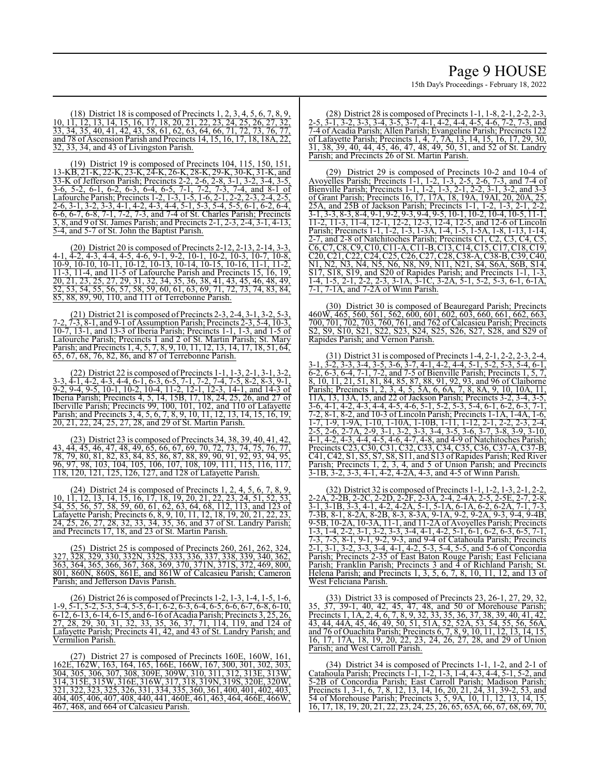(18) District 18 is composed of Precincts 1, 2, 3, 4, 5, 6, 7, 8, 9, 10, 11, 12, 13, 14, 15, 16, 17, 18, 20, 21, 22, 23, 24, 25, 26, 27, 32, 33, 34, 35, 40, 41, 42, 43, 58, 61, 62, 63, 64, 66, 71, 72, 73, 76, 77, and 78 of Ascension Parish and Precincts 14, 15, 16, 17, 18, 18A, 22, 32, 33, 34, and 43 of Livingston Parish.

(19) District 19 is composed of Precincts 104, 115, 150, 151, 13-KB, 21-K, 22-K, 23-K, 24-K, 26-K, 28-K, 29-K, 30-K, 31-K, and 33-K of Jefferson Parish; Precincts 2-2, 2-6, 2-8, 3-1, 3-2, 3-4, 3-5, 3-6, 5-2, 6-1, 6-2, 6-3, 6-4, 6-5, 7-1, 7-2, 7-3, 7-4, and 8-1 of Lafourche Parish; Precincts 1-2, 1-3, 1-5, 1-6, 2-1, 2-2, 2-3, 2-4, 2-5, 2-6, 3-1, 3-2, 3-3, 4-1, 4-2, 4-3, 4-4, 5-1, 5-3, 5-4, 5-5, 6-1, 6-2, 6-4, 6-6, 6-7, 6-8, 7-1, 7-2, 7-3, and 7-4 of St. Charles Parish; Precincts 3, 8, and 9 of St. James Parish; and Precincts 2-1, 2-3, 2-4, 3-1, 4-13, 5-4, and 5-7 of St. John the Baptist Parish.

(20) District 20 is composed of Precincts 2-12, 2-13, 2-14, 3-3, 4-1, 4-2, 4-3, 4-4, 4-5, 4-6, 9-1, 9-2, 10-1, 10-2, 10-3, 10-7, 10-8, 10-9, 10-10, 10-11, 10-12, 10-13, 10-14, 10-15, 10-16, 11-1, 11-2, 11-3, 11-4, and 11-5 of Lafourche Parish and Precincts 15, 16, 19, 20, 21, 23, 25, 27, 29, 31, 32, 34, 35, 36, 38, 41, 43, 45, 46, 48, 49, 52, 53, 54, 55, 56, 57, 58, 59, 60, 61, 63, 69, 71, 72, 73, 74, 83, 84, 85, 88, 89, 90, 110, and 111 of Terrebonne Parish.

(21) District 21 is composed of Precincts 2-3, 2-4, 3-1, 3-2, 5-3, 7-2, 7-3, 8-1, and 9-1 of Assumption Parish; Precincts 2-3, 5-4, 10-3, 10-7, 13-1, and 13-3 of Iberia Parish; Precincts 1-1, 1-3, and 1-5 of Lafourche Parish; Precincts 1 and 2 of St. Martin Parish; St. Mary Parish; and Precincts 1, 4, 5, 7, 8, 9, 10, 11, 12, 13, 14, 17, 18, 51, 64, 65, 67, 68, 76, 82, 86, and 87 of Terrebonne Parish.

(22) District 22 is composed of Precincts 1-1, 1-3, 2-1, 3-1, 3-2, 3-3, 4-1, 4-2, 4-3, 4-4, 6-1, 6-3, 6-5, 7-1, 7-2, 7-4, 7-5, 8-2, 8-3, 9-1, 9-2, 9-4, 9-5, 10-1, 10-2, 10-4, 11-2, 12-1, 12-3, 14-1, and 14-3 of Iberia Parish; Precincts 4, 5, 14, 15B, 17, 18, 24, 25, 26, and 27 of Iberville Parish; Precincts 99, 100, 101, 102, and 110 of Lafayette Parish; and Precincts 3, 4, 5, 6, 7, 8, 9, 10, 11, 12, 13, 14, 15, 16, 19, 20, 21, 22, 24, 25, 27, 28, and 29 of St. Martin Parish.

(23) District 23 is composed of Precincts 34, 38, 39, 40, 41, 42, 43, 44, 45, 46, 47, 48, 49, 65, 66, 67, 69, 70, 72, 73, 74, 75, 76, 77, 78, 79, 80, 81, 82, 83, 84, 85, 86, 87, 88, 89, 90, 91, 92, 93, 94, 95, 96, 97, 98, 103, 104, 105, 106, 107, 108, 109, 111, 115, 116, 117, 118, 120, 121, 125, 126, 127, and 128 of Lafayette Parish.

(24) District 24 is composed of Precincts 1, 2, 4, 5, 6, 7, 8, 9, 10, 11, 12, 13, 14, 15, 16, 17, 18, 19, 20, 21, 22, 23, 24, 51, 52, 53, 54, 55, 56, 57, 58, 59, 60, 61, 62, 63, 64, 68, 112, 113, and 123 of Lafayette Parish; Precincts 6, 8, 9, 10, 11, 12, 18, 19, 20, 21, 22, 23, 24, 25, 26, 27, 28, 32, 33, 34, 35, 36, and 37 of St. Landry Parish; and Precincts 17, 18, and 23 of St. Martin Parish.

 $(5)$  District 25 is composed of Precincts 260, 261, 327, 328, 329, 330, 332N, 332S, 333, 336, 337, 338, 339, 340, 362, 363, 364, 365, 366, 367, 368, 369, 370, 371N, 371S, 372, 469, 800, 801, 860N, 860S, 861E, and 861W of Calcasieu Parish; Cameron Parish; and Jefferson Davis Parish.

(26) District 26 is composed of Precincts 1-2, 1-3, 1-4, 1-5, 1-6, 1-9, 5-1, 5-2, 5-3, 5-4, 5-5, 6-1, 6-2, 6-3, 6-4, 6-5, 6-6, 6-7, 6-8, 6-10, 6-12, 6-13, 6-14, 6-15, and 6-16 ofAcadia Parish; Precincts 3, 25, 26, 27, 28, 29, 30, 31, 32, 33, 35, 36, 37, 71, 114, 119, and 124 of Lafayette Parish; Precincts 41, 42, and 43 of St. Landry Parish; and Vermilion Parish.

(27) District 27 is composed of Precincts 160E, 160W, 161, 162E, 162W, 163, 164, 165, 166E, 166W, 167, 300, 301, 302, 303, 304, 305, 306, 307, 308, 309E, 309W, 310, 311, 312, 313E, 313W, 314, 315E, 315W, 316E, 316W, 317, 318, 319N, 319S, 320E, 320W, 321, 322, 323, 325, 326, 331, 334, 335, 360, 361, 400, 401, 402, 403, 404, 405, 406, 407, 408, 440, 441, 460E, 461, 463, 464, 466E, 466W, 467, 468, and 664 of Calcasieu Parish.

(28) District 28 is composed of Precincts 1-1, 1-8, 2-1, 2-2, 2-3, 2-5, 3-1, 3-2, 3-3, 3-4, 3-5, 3-7, 4-1, 4-2, 4-4, 4-5, 4-6, 7-2, 7-3, and 7-4 of Acadia Parish; Allen Parish; Evangeline Parish; Precincts 122 of Lafayette Parish; Precincts 1, 4, 7, 7A, 13, 14, 15, 16, 17, 29, 30, 31, 38, 39, 40, 44, 45, 46, 47, 48, 49, 50, 51, and 52 of St. Landry Parish; and Precincts 26 of St. Martin Parish.

(29) District 29 is composed of Precincts 10-2 and 10-4 of Avoyelles Parish; Precincts 1-1, 1-2, 1-3, 2-5, 2-6, 7-3, and 7-4 of Bienville Parish; Precincts 1-1, 1-2, 1-3, 2-1, 2-2, 3-1, 3-2, and 3-3 of Grant Parish; Precincts 16, 17, 17A, 18, 19A, 19AI, 20, 20A, 25A, and 25B of Jackson Parish; Precincts 1-1, 1-2, 1-3, 2-1, 3-1, 3-3, 8-3, 8-4, 9-1, 9-2, 9-3, 9-4, 9-5, 10-1, 10-2, 10-4, 10-5, 11-1, 11-2, 11-3, 11-4, 12-1, 12-2, 12-3, 12-4, 12-5, and 12-6 of Lincoln Parish; Precincts 1-1, 1-2, 1-3, 1-3A, 1-4, 1-5, 1-5A, 1-8, 1-13, 1-14, 2-7, and 2-8 of Natchitoches Parish; Precincts C1, C2, C3, C4, C5, C6, C7, C8, C9, C10, C11-A, C11-B, C13, C14, C15, C17, C18, C19, C20, C21, C22, C24, C25, C26, C27, C28, C38-A, C38-B, C39, C40, N1, N2, N3, N4, N5, N6, N8, N9, N11, N21, S4, S6A, S6B, S14, S17, S18, S19, and S20 of Rapides Parish; and Precincts 1-1, 1-3, 1-4, 1-5, 2-1, 2-2, 2-3, 3-1A, 3-1C, 3-2A, 5-1, 5-2, 5-3, 6-1, 6-1A, 7-1, 7-1A, and 7-2A of Winn Parish.

(30) District 30 is composed of Beauregard Parish; Precincts 460W, 465, 560, 561, 562, 600, 601, 602, 603, 660, 661, 662, 663, 700, 701, 702, 703, 760, 761, and 762 of Calcasieu Parish; Precincts S2, S9, S10, S21, S22, S23, S24, S25, S26, S27, S28, and S29 of Rapides Parish; and Vernon Parish.

(31) District 31 is composed of Precincts 1-4, 2-1, 2-2, 2-3, 2-4, 3-1, 3-2, 3-3, 3-4, 3-5, 3-6, 3-7, 4-1, 4-2, 4-4, 5-1, 5-2, 5-3, 5-4, 6-1, 6-2, 6-3, 6-4, 7-1, 7-2, and 7-5 of Bienville Parish; Precincts 1, 5, 7, 8, 10, 11, 21, 51, 81, 84, 85, 87, 88, 91, 92, 93, and 96 of Claiborne Parish; Precincts 1, 2, 3, 4, 5, 5A, 6, 6A, 7, 8, 8A, 9, 10, 10A, 11, 11A, 13, 13A, 15, and 22 of Jackson Parish; Precincts 3-2, 3-4, 3-5, 3-6, 4-1, 4-2, 4-3, 4-4, 4-5, 4-6, 5-1, 5-2, 5-3, 5-4, 6-1, 6-2, 6-3, 7-1, 7-2, 8-1, 8-2, and 10-3 of Lincoln Parish; Precincts 1-1A, 1-4A, 1-6, 1-7, 1-9, 1-9A, 1-10, 1-10A, 1-10B, 1-11, 1-12, 2-1, 2-2, 2-3, 2-4, 2-5, 2-6, 2-7A, 2-9, 3-1, 3-2, 3-3, 3-4, 3-5, 3-6, 3-7, 3-8, 3-9, 3-10, 4-1, 4-2, 4-3, 4-4, 4-5, 4-6, 4-7, 4-8, and 4-9 of Natchitoches Parish; Precincts C23, C30, C31, C32, C33, C34, C35, C36, C37-A, C37-B, C41, C42, S1, S5, S7, S8, S11, and S13 ofRapides Parish; Red River Parish; Precincts 1, 2, 3, 4, and 5 of Union Parish; and Precincts 3-1B, 3-2, 3-3, 4-1, 4-2, 4-2A, 4-3, and 4-5 of Winn Parish.

(32) District 32 is composed of Precincts 1-1, 1-2, 1-3, 2-1, 2-2, 2-2A, 2-2B, 2-2C, 2-2D, 2-2F, 2-3A, 2-4, 2-4A, 2-5, 2-5E, 2-7, 2-8, 3-1, 3-1B, 3-3, 4-1, 4-2, 4-2A, 5-1, 5-1A, 6-1A, 6-2, 6-2A, 7-1, 7-3, 7-3B, 8-1, 8-2A, 8-2B, 8-3, 8-3A, 9-1A, 9-2, 9-2A, 9-3, 9-4, 9-4B, 9-5B, 10-2A, 10-3A, 11-1, and 11-2A of Avoyelles Parish; Precincts 1-3, 1-4, 2-2, 3-1, 3-2, 3-3, 3-4, 4-1, 4-2, 5-1, 6-1, 6-2, 6-3, 6-5, 7-1, 7-3, 7-5, 8-1, 9-1, 9-2, 9-3, and 9-4 of Catahoula Parish; Precincts 2-1, 3-1, 3-2, 3-3, 3-4, 4-1, 4-2, 5-3, 5-4, 5-5, and 5-6 of Concordia Parish; Precincts 2-35 of East Baton Rouge Parish; East Feliciana Parish; Franklin Parish; Precincts 3 and 4 of Richland Parish; St. Helena Parish; and Precincts 1, 3, 5, 6, 7, 8, 10, 11, 12, and 13 of West Feliciana Parish.

(33) District 33 is composed of Precincts 23, 26-1, 27, 29, 32, 35, 37, 39-1, 40, 42, 45, 47, 48, and 50 of Morehouse Parish; Precincts 1, 1A, 2, 4, 6, 7, 8, 9, 32, 33, 35, 36, 37, 38, 39, 40, 41, 42, 43, 44, 44A, 45, 46, 49, 50, 51, 51A, 52, 52A, 53, 54, 55, 56, 56A, and 76 of Ouachita Parish; Precincts 6, 7, 8, 9, 10, 11, 12, 13, 14, 15, 16, 17, 17A, 18, 19, 20, 22, 23, 24, 26, 27, 28, and 29 of Union Parish; and West Carroll Parish.

(34) District 34 is composed of Precincts 1-1, 1-2, and 2-1 of Catahoula Parish; Precincts 1-1, 1-2, 1-3, 1-4, 4-3, 4-4, 5-1, 5-2, and 5-2B of Concordia Parish; East Carroll Parish; Madison Parish; Precincts 1, 3-1, 6, 7, 8, 12, 13, 14, 16, 20, 21, 24, 31, 39-2, 53, and 54 of Morehouse Parish; Precincts 3, 5, 9A, 10, 11, 12, 13, 14, 15, 16, 17, 18, 19, 20, 21, 22, 23, 24, 25, 26, 65, 65A, 66, 67, 68, 69, 70,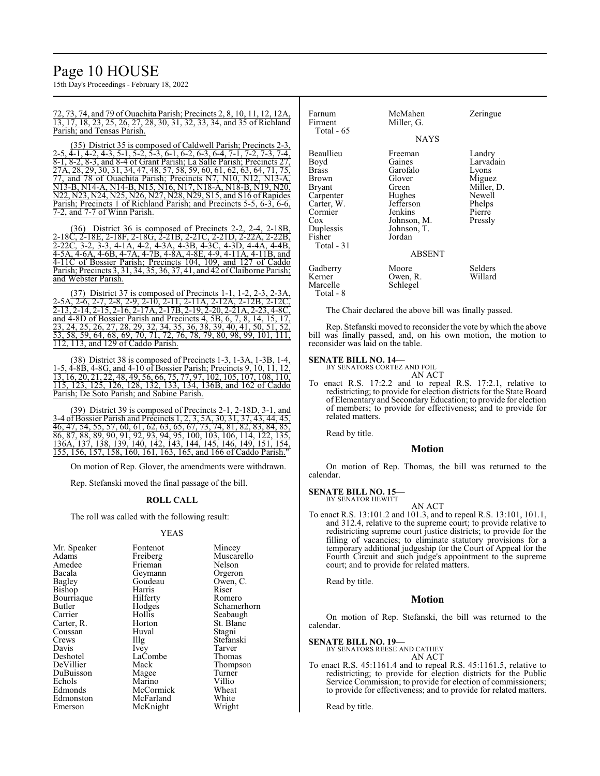# Page 10 HOUSE

15th Day's Proceedings - February 18, 2022

72, 73, 74, and 79 of Ouachita Parish; Precincts 2, 8, 10, 11, 12, 12A, 13, 17, 18, 23, 25, 26, 27, 28, 30, 31, 32, 33, 34, and 35 of Richland Parish; and Tensas Parish.

(35) District 35 is composed of Caldwell Parish; Precincts 2-3, 2-5, 4-1, 4-2, 4-3, 5-1, 5-2, 5-3, 6-1, 6-2, 6-3, 6-4, 7-1, 7-2, 7-3, 7-4,  $\overline{8-1}$ ,  $\overline{8-2}$ ,  $\overline{8-3}$ , and  $\overline{8-4}$  of Grant Parish; La Salle Parish; Precincts 27, 27A, 28, 29, 30, 31, 34, 47, 48, 57, 58, 59, 60, 61, 62, 63, 64, 71, 75, 77, and 78 of Ouachita Parish; Precincts N7, N10, N12, N13-A, N13-B, N14-A, N14-B, N15, N16, N17, N18-A, N18-B, N19, N20, N22, N23, N24, N25, N26, N27, N28, N29, S15, and S16 of Rapides Parish; Precincts 1 of Richland Parish; and Precincts 5-5, 6-3, 6-6, 7-2, and 7-7 of Winn Parish.

(36) District 36 is composed of Precincts 2-2, 2-4, 2-18B, 2-18C, 2-18E, 2-18F, 2-18G, 2-21B, 2-21C, 2-21D, 2-22A, 2-22B, 2-22C, 3-2, 3-3, 4-1A, 4-2, 4-3A, 4-3B, 4-3C, 4-3D, 4-4A, 4-4B, 4-5A, 4-6A, 4-6B, 4-7A, 4-7B, 4-8A, 4-8E, 4-9, 4-11A, 4-11B, and 4-11C of Bossier Parish; Precincts 104, 109, and 127 of Caddo Parish; Precincts 3, 31, 34, 35, 36, 37, 41, and 42 ofClaiborne Parish; and Webster Parish.

(37) District 37 is composed of Precincts 1-1, 1-2, 2-3, 2-3A, 2-5A, 2-6, 2-7, 2-8, 2-9, 2-10, 2-11, 2-11A, 2-12A, 2-12B, 2-12C, 2-13, 2-14, 2-15, 2-16, 2-17A, 2-17B, 2-19, 2-20, 2-21A, 2-23, 4-8C, and 4-8D of Bossier Parish and Precincts 4, 5B, 6, 7, 8, 14, 15, 17, 23, 24, 25, 26, 27, 28, 29, 32, 34, 35, 36, 38, 39, 40, 41, 50, 51, 52, 53, 58, 59, 64, 68, 69, 70, 71, 72, 76, 78, 79, 80, 98, 99, 101, 111, 112, 113, and 129 of Caddo Parish.

(38) District 38 is composed of Precincts 1-3, 1-3A, 1-3B, 1-4, 1-5, 4-8B, 4-8G, and 4-10 of Bossier Parish; Precincts 9, 10, 11, 12, 13, 16, 20, 21, 22, 48, 49, 56, 66, 75, 77, 97, 102, 105, 107, 108, 110, 115, 123, 125, 126, 128, 132, 133, 134, 136B, and 162 of Caddo Parish; De Soto Parish; and Sabine Parish.

(39) District 39 is composed of Precincts 2-1, 2-18D, 3-1, and 3-4 of Bossier Parish and Precincts 1, 2, 3, 5A, 30, 31, 37, 43, 44, 45, 46, 47, 54, 55, 57, 60, 61, 62, 63, 65, 67, 73, 74, 81, 82, 83, 84, 85, 86, 87, 88, 89, 90, 91, 92, 93, 94, 95, 100, 103, 106, 114, 122, 135, 136A, 137, 138, 139, 140, 142, 143, 144, 145, 146, 149, 151, 154, 155, 156, 157, 158, 160, 161, 163, 165, and 166 of Caddo Parish."

On motion of Rep. Glover, the amendments were withdrawn.

Rep. Stefanski moved the final passage of the bill.

## **ROLL CALL**

The roll was called with the following result:

#### YEAS

| Mr. Speaker | Fontenot          | Mincey      |
|-------------|-------------------|-------------|
| Adams       | Freiberg          | Muscarello  |
| Amedee      | Frieman           | Nelson      |
| Bacala      | Geymann           | Orgeron     |
| Bagley      | Goudeau           | Owen, C.    |
| Bishop      | Harris            | Riser       |
| Bourriaque  | Hilferty          | Romero      |
| Butler      | Hodges            | Schamerhorn |
| Carrier     | Hollis            | Seabaugh    |
| Carter, R.  | Horton            | St. Blanc   |
| Coussan     | Huval             | Stagni      |
| Crews       | $\prod_{i=1}^{n}$ | Stefanski   |
| Davis       | Ivey              | Tarver      |
| Deshotel    | LaCombe           | Thomas      |
| DeVillier   | Mack              | Thompson    |
| DuBuisson   | Magee             | Turner      |
| Echols      | Marino            | Villio      |
| Edmonds     | McCormick         | Wheat       |
| Edmonston   | McFarland         | White       |
| Emerson     | McKnight          | Wright      |
|             |                   |             |

| Farnum<br>Firment                                                                                                               | McMahen<br>Miller, G.                                                                                                                       | Zeringue                                                                                      |  |
|---------------------------------------------------------------------------------------------------------------------------------|---------------------------------------------------------------------------------------------------------------------------------------------|-----------------------------------------------------------------------------------------------|--|
| Total $-65$                                                                                                                     | <b>NAYS</b>                                                                                                                                 |                                                                                               |  |
| Beaullieu<br>Boyd<br>Brass<br>Brown<br>Bryant<br>Carpenter<br>Carter, W.<br>Cormier<br>Cox<br>Duplessis<br>Fisher<br>Total - 31 | Freeman<br>Gaines<br>Garofalo<br>Glover<br>Green<br>Hughes<br>Jefferson<br>Jenkins<br>Johnson, M.<br>Johnson, T.<br>Jordan<br><b>ABSENT</b> | Landry<br>Larvadain<br>Lyons<br>Miguez<br>Miller, D.<br>Newell<br>Phelps<br>Pierre<br>Pressly |  |
|                                                                                                                                 |                                                                                                                                             |                                                                                               |  |
| Gadberry<br>Kerner<br>Marcelle<br>Total - 8                                                                                     | Moore<br>Owen, R.<br>Schlegel                                                                                                               | Selders<br>Willard                                                                            |  |

The Chair declared the above bill was finally passed.

Rep. Stefanski moved to reconsider the vote by which the above bill was finally passed, and, on his own motion, the motion to reconsider was laid on the table.

**SENATE BILL NO. 14—** BY SENATORS CORTEZ AND FOIL

AN ACT

To enact R.S. 17:2.2 and to repeal R.S. 17:2.1, relative to redistricting; to provide for election districts for the State Board of Elementary and SecondaryEducation; to provide for election of members; to provide for effectiveness; and to provide for related matters.

Read by title.

#### **Motion**

On motion of Rep. Thomas, the bill was returned to the calendar.

**SENATE BILL NO. 15—** BY SENATOR HEWITT

AN ACT

To enact R.S. 13:101.2 and 101.3, and to repeal R.S. 13:101, 101.1, and 312.4, relative to the supreme court; to provide relative to redistricting supreme court justice districts; to provide for the filling of vacancies; to eliminate statutory provisions for a temporary additional judgeship for the Court of Appeal for the Fourth Circuit and such judge's appointment to the supreme court; and to provide for related matters.

Read by title.

# **Motion**

On motion of Rep. Stefanski, the bill was returned to the calendar.

### **SENATE BILL NO. 19—**

BY SENATORS REESE AND CATHEY AN ACT

To enact R.S. 45:1161.4 and to repeal R.S. 45:1161.5, relative to redistricting; to provide for election districts for the Public Service Commission; to provide for election of commissioners; to provide for effectiveness; and to provide for related matters.

Read by title.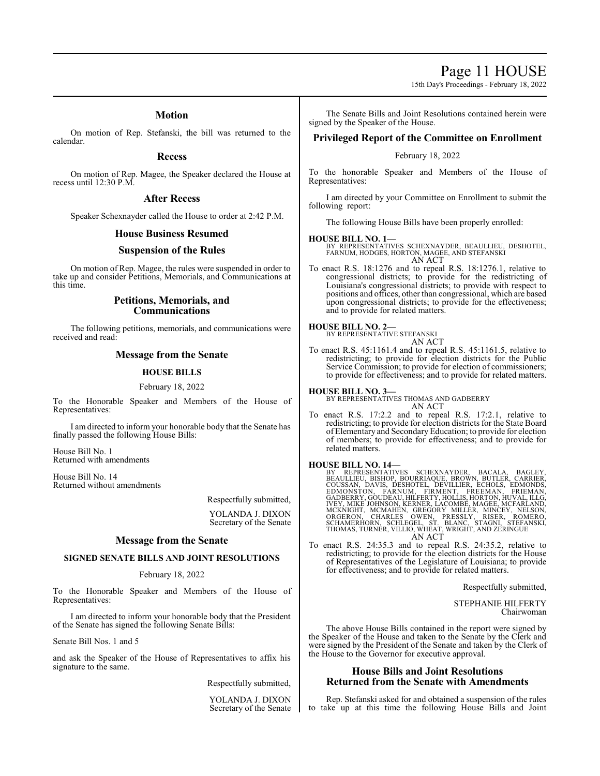Page 11 HOUSE

15th Day's Proceedings - February 18, 2022

# **Motion**

On motion of Rep. Stefanski, the bill was returned to the calendar.

### **Recess**

On motion of Rep. Magee, the Speaker declared the House at recess until 12:30 P.M.

# **After Recess**

Speaker Schexnayder called the House to order at 2:42 P.M.

# **House Business Resumed**

# **Suspension of the Rules**

On motion of Rep. Magee, the rules were suspended in order to take up and consider Petitions, Memorials, and Communications at this time.

# **Petitions, Memorials, and Communications**

The following petitions, memorials, and communications were received and read:

# **Message from the Senate**

# **HOUSE BILLS**

#### February 18, 2022

To the Honorable Speaker and Members of the House of Representatives:

I am directed to inform your honorable body that the Senate has finally passed the following House Bills:

House Bill No. 1 Returned with amendments

House Bill No. 14 Returned without amendments

> Respectfully submitted, YOLANDA J. DIXON

Secretary of the Senate

# **Message from the Senate**

#### **SIGNED SENATE BILLS AND JOINT RESOLUTIONS**

#### February 18, 2022

To the Honorable Speaker and Members of the House of Representatives:

I am directed to inform your honorable body that the President of the Senate has signed the following Senate Bills:

Senate Bill Nos. 1 and 5

and ask the Speaker of the House of Representatives to affix his signature to the same.

Respectfully submitted,

YOLANDA J. DIXON Secretary of the Senate

The Senate Bills and Joint Resolutions contained herein were signed by the Speaker of the House.

# **Privileged Report of the Committee on Enrollment**

# February 18, 2022

To the honorable Speaker and Members of the House of Representatives:

I am directed by your Committee on Enrollment to submit the following report:

The following House Bills have been properly enrolled:

**HOUSE BILL NO. 1—** BY REPRESENTATIVES SCHEXNAYDER, BEAULLIEU, DESHOTEL, FARNUM, HODGES, HORTON, MAGEE, AND STEFANSKI AN ACT

To enact R.S. 18:1276 and to repeal R.S. 18:1276.1, relative to congressional districts; to provide for the redistricting of Louisiana's congressional districts; to provide with respect to positions and offices, other than congressional, which are based upon congressional districts; to provide for the effectiveness; and to provide for related matters.

# **HOUSE BILL NO. 2—** BY REPRESENTATIVE STEFANSKI

AN ACT

To enact R.S. 45:1161.4 and to repeal R.S. 45:1161.5, relative to redistricting; to provide for election districts for the Public Service Commission; to provide for election of commissioners; to provide for effectiveness; and to provide for related matters.

**HOUSE BILL NO. 3—**

BY REPRESENTATIVES THOMAS AND GADBERRY AN ACT

To enact R.S. 17:2.2 and to repeal R.S. 17:2.1, relative to redistricting; to provide for election districts for the State Board of Elementary and SecondaryEducation; to provide for election of members; to provide for effectiveness; and to provide for related matters.

**HOUSE BILL NO. 14—**<br>BY REPRESENTATIVES SCHEXNAYDER, BACALA, BAGLEY,<br>BEAULLIEU, BISHOP, BOURRIAQUE, BROWN, BUTLER, CARRIER,<br>COUSSAN, DAVIS, DESHOTEL, DEVILLIER, ECHOLS, EDMONDS,<br>EDMONSTON, FARNUM, FIRMENT, FREEMAN, FRIEMAN

To enact R.S. 24:35.3 and to repeal R.S. 24:35.2, relative to redistricting; to provide for the election districts for the House of Representatives of the Legislature of Louisiana; to provide for effectiveness; and to provide for related matters.

Respectfully submitted,

STEPHANIE HILFERTY Chairwoman

The above House Bills contained in the report were signed by the Speaker of the House and taken to the Senate by the Clerk and were signed by the President of the Senate and taken by the Clerk of the House to the Governor for executive approval.

# **House Bills and Joint Resolutions Returned from the Senate with Amendments**

Rep. Stefanski asked for and obtained a suspension of the rules to take up at this time the following House Bills and Joint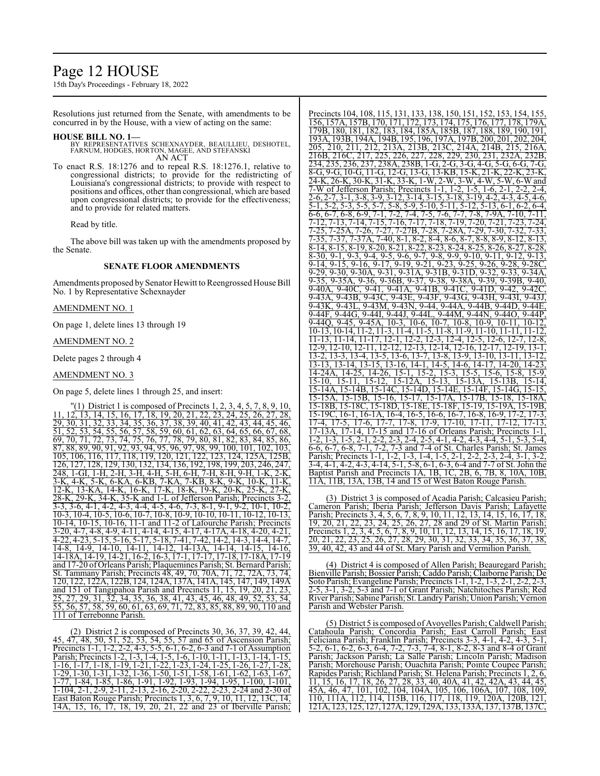# Page 12 HOUSE

15th Day's Proceedings - February 18, 2022

Resolutions just returned from the Senate, with amendments to be concurred in by the House, with a view of acting on the same:

#### **HOUSE BILL NO. 1—**

- BY REPRESENTATIVES SCHEXNAYDER, BEAULLIEU, DESHOTEL, FARNUM, HODGES, HORTON, MAGEE, AND STEFANSKI AN ACT
- To enact R.S. 18:1276 and to repeal R.S. 18:1276.1, relative to congressional districts; to provide for the redistricting of Louisiana's congressional districts; to provide with respect to positions and offices, other than congressional, which are based upon congressional districts; to provide for the effectiveness; and to provide for related matters.

Read by title.

The above bill was taken up with the amendments proposed by the Senate.

# **SENATE FLOOR AMENDMENTS**

Amendments proposed by Senator Hewitt to Reengrossed House Bill No. 1 by Representative Schexnayder

# AMENDMENT NO. 1

On page 1, delete lines 13 through 19

#### AMENDMENT NO. 2

Delete pages 2 through 4

### AMENDMENT NO. 3

On page 5, delete lines 1 through 25, and insert:

 $(1)$  District 1 is composed of Precincts 1, 2, 3, 4, 5, 7, 8, 9, 10, 11, 12, 13, 14, 15, 16, 17, 18, 19, 20, 21, 22, 23, 24, 25, 26, 27, 28, 29, 30, 31, 32, 33, 34, 35, 36, 37, 38, 39, 40, 41, 42, 43, 44, 45, 46, 51, 52, 53, 54, 55, 56, 57, 58, 59, 60, 61, 62, 63, 64, 65, 66, 67, 68, 69, 70, 71, 72, 73, 74, 75, 76, 77, 78, 79, 80, 81, 82, 83, 84, 85, 86, 87, 88, 89, 90, 91, 92, 93, 94, 95, 96, 97, 98, 99, 100, 101, 102, 103, 105, 106, 116, 117, 118, 119, 120, 121, 122, 123, 124, 125A, 125B, 126, 127, 128, 129, 130, 132, 134, 136, 192, 198, 199, 203, 246, 247, 248, 1-GI, 1-H, 2-H, 3-H, 4-H, 5-H, 6-H, 7-H, 8-H, 9-H, 1-K, 2-K, 3-K, 4-K, 5-K, 6-KA, 6-KB, 7-KA, 7-KB, 8-K, 9-K, 10-K, 11-K, 12-K, 13-KA, 14-K, 16-K, 17-K, 18-K, 19-K, 20-K, 25-K, 27-K, 28-K, 29-K, 34-K, 35-K and 1-L of Jefferson Parish; Precincts 3-2, 3-3, 3-6, 4-1, 4-2, 4-3, 4-4, 4-5, 4-6, 7-3, 8-1, 9-1, 9-2, 10-1, 10-2, 10-3, 10-4, 10-5, 10-6, 10-7, 10-8, 10-9, 10-10, 10-11, 10-12, 10-13, 10-14, 10-15, 10-16, 11-1 and 11-2 of Lafourche Parish; Precincts 3-20, 4-7, 4-8, 4-9, 4-11, 4-14, 4-15, 4-17, 4-17A, 4-18, 4-20, 4-21, 4-22, 4-23, 5-15, 5-16, 5-17, 5-18, 7-41, 7-42, 14-2, 14-3, 14-4, 14-7, 14-8, 14-9, 14-10, 14-11, 14-12, 14-13A, 14-14, 14-15, 14-16, 14-18A, 14-19, 14-21, 16-2, 16-3, 17-1, 17-17, 17-18, 17-18A, 17-19 and 17-20 ofOrleans Parish; Plaquemines Parish; St. Bernard Parish; St. Tammany Parish; Precincts 48, 49, 70, 70A, 71, 72, 72A, 73, 74, 120, 122, 122A, 122B, 124, 124A, 137A, 141A, 145, 147, 149, 149A and 151 of Tangipahoa Parish and Precincts 11, 15, 19, 20, 21, 23, 25, 27, 29, 31, 32, 34, 35, 36, 38, 41, 43, 45, 46, 48, 49, 52, 53, 54, 55, 56, 57, 58, 59, 60, 61, 63, 69, 71, 72, 83, 85, 88, 89, 90, 110 and 111 of Terrebonne Parish.

(2) District 2 is composed of Precincts 30, 36, 37, 39, 42, 44, 45, 47, 48, 50, 51, 52, 53, 54, 55, 57 and 65 of Ascension Parish; Precincts 1-1, 1-2, 2-2, 4-3, 5-5, 6-1, 6-2, 6-3 and 7-1 of Assumption Parish; Precincts 1-2, 1-3, 1-4, 1-5, 1-6, 1-10, 1-11, 1-13, 1-14, 1-15, 1-16, 1-17, 1-18, 1-19, 1-21, 1-22, 1-23, 1-24, 1-25, 1-26, 1-27, 1-28, 1-29, 1-30, 1-31, 1-32, 1-36, 1-50, 1-51, 1-58, 1-61, 1-62, 1-63, 1-67, 1-77, 1-84, 1-85, 1-86, 1-91, 1-92, 1-93, 1-94, 1-95, 1-100, 1-101, 1-104, 2-1, 2-9, 2-11, 2-13, 2-16, 2-20, 2-22, 2-23, 2-24 and 2-30 of East Baton Rouge Parish; Precincts 1, 3, 6, 7, 9, 10, 11, 12, 13C, 14, 14A, 15, 16, 17, 18, 19, 20, 21, 22 and 23 of Iberville Parish;

Precincts 104, 108, 115, 131, 133, 138, 150, 151, 152, 153, 154, 155, 156, 157A, 157B, 170, 171, 172, 173, 174, 175, 176, 177, 178, 179A, 179B, 180, 181, 182, 183, 184, 185A, 185B, 187, 188, 189, 190, 191,<br>193A, 193B, 194A, 194B, 195, 196, 197A, 197B, 200, 201, 202, 204, 193A, 193B, 194A, 194B, 195, 196, 197A, 197B, 200, 201, 202, 204, 205, 210, 211, 212, 213A, 213B, 213C, 214A, 214B, 215, 216A, 216B, 216C, 217, 225, 226, 227, 228, 229, 230, 231, 232A, 232B,<br>234, 235, 236, 237, 238A, 238B, 1-G, 2-G, 3-G, 4-G, 5-G, 6-G, 7-G, 2102, 2102, 236, 237, 238A, 238B, 1-G, 2-G, 3-G, 4-G, 5-G, 6-G 8-G, 9-G, 10-G, 11-G, 12-G, 13-G, 13-KB, 15-K, 21-K, 22-K, 23-K, 24-K, 26-K, 30-K, 31-K, 33-K, 1-W, 2-W, 3-W, 4-W, 5-W, 6-W and 7-W of Jefferson Parish; Precincts 1-1, 1-2, 1-5, 1-6, 2-1, 2-2, 2-4, 2-6, 2-7, 3-1, 3-8, 3-9, 3-12, 3-14, 3-15, 3-18, 3-19, 4-2, 4-3, 4-5, 4-6, 5-1, 5-2, 5-3, 5-5, 5-7, 5-8, 5-9, 5-10, 5-11, 5-12, 5-13, 6-1, 6-2, 6-4, 6-6, 6-7, 6-8, 6-9, 7-1, 7-2, 7-4, 7-5, 7-6, 7-7, 7-8, 7-9A, 7-10, 7-11, 7-12, 7-13, 7-14, 7-15, 7-16, 7-17, 7-18, 7-19, 7-20, 7-21, 7-23, 7-24, 7-25, 7-25A, 7-26, 7-27, 7-27B, 7-28, 7-28A, 7-29, 7-30, 7-32, 7-33, 7-35, 7-37, 7-37A, 7-40, 8-1, 8-2, 8-4, 8-6, 8-7, 8-8, 8-9, 8-12, 8-13,  $\frac{8}{8-14}$ ,  $\frac{8}{8-15}$ ,  $\frac{8}{8-19}$ ,  $\frac{8}{8-20}$ ,  $\frac{8}{8-21}$ ,  $\frac{8}{8-22}$ ,  $\frac{8}{8-23}$ ,  $\frac{8}{8-24}$ ,  $\frac{8}{8-25}$ ,  $\frac{8}{8-26}$ ,  $\frac{8}{8-27}$ 8-30, 9-1, 9-3, 9-4, 9-5, 9-6, 9-7, 9-8, 9-9, 9-10, 9-11, 9-12, 9-13, 9-14, 9-15, 9-16, 9-17, 9-19, 9-21, 9-23, 9-25, 9-26, 9-28, 9-28C, 9-29, 9-30, 9-30A, 9-31, 9-31A, 9-31B, 9-31D, 9-32, 9-33, 9-34A, 9-35, 9-35A, 9-36, 9-36B, 9-37, 9-38, 9-38A, 9-39, 9-39B, 9-40, 9-40A, 9-40C, 9-41, 9-41A, 9-41B, 9-41C, 9-41D, 9-42, 9-42C, 9-43A, 9-43B, 9-43C, 9-43E, 9-43F, 9-43G, 9-43H, 9-43I, 9-43J, 9-43K, 9-43L, 9-43M, 9-43N, 9-44, 9-44A, 9-44B, 9-44D, 9-44E, 9-44F, 9-44G, 9-44I, 9-44J, 9-44L, 9-44M, 9-44N, 9-44O, 9-44P, 9-44Q, 9-45, 9-45A, 10-3, 10-6, 10-7, 10-8, 10-9, 10-11, 10-12, 10-13, 10-14, 11-2, 11-3, 11-4, 11-5, 11-8, 11-9, 11-10, 11-11, 11-12,  $\frac{1}{11-13}$ ,  $\frac{1}{11-14}$ ,  $\frac{1}{11-17}$ ,  $\frac{1}{12-1}$ ,  $\frac{1}{2-2}$ ,  $\frac{1}{2-3}$ ,  $\frac{1}{2-4}$ ,  $\frac{1}{2-5}$ ,  $\frac{1}{2-6}$ ,  $\frac{1}{2-7}$ ,  $\frac{1}{2-8}$ , 12-9, 12-10, 12-11, 12-12, 12-13, 12-14, 12-16, 12-17, 12-19, 13-1, 13-2, 13-3, 13-4, 13-5, 13-6, 13-7, 13-8, 13-9, 13-10, 13-11, 13-12, 13-13, 13-14, 13-15, 13-16, 14-1, 14-5, 14-6, 14-17, 14-20, 14-23, 14-24A, 14-25, 14-26, 15-1, 15-2, 15-3, 15-5, 15-6, 15-8, 15-9, 15-10, 15-11, 15-12, 15-12A, 15-13, 15-13A, 15-13B, 15-14, 15-13, 15-14B, 15-14C, 15-14D, 15-14E, 15-14F, 15-14G, 15-15, 15-15A, 15-15B, 15-16, 15-17, 15-17A, 15-17B, 15-18, 15-18A, 15-18B, 15-18C, 15-18D, 15-18E, 15-18F, 15-19, 15-19A, 15-19B, 15-19C, 16-1, 16-1A, 16-4, 16-5, 16-6, 16-7, 16-8, 16-9, 17-2, 17-3, 17-4, 17-5, 17-6, 17-7, 17-8, 17-9, 17-10, 17-11, 17-12, 17-13, 17-13A, 17-14, 17-15 and 17-16 of Orleans Parish; Precincts 1-1, 1-2, 1-3, 1-5, 2-1, 2-2, 2-3, 2-4, 2-5, 4-1, 4-2, 4-3, 4-4, 5-1, 5-3, 5-4, 6-6, 6-7, 6-8, 7-1, 7-2, 7-3 and 7-4 of St. Charles Parish; St. James Parish; Precincts 1-1, 1-2, 1-3, 1-4, 1-5, 2-1, 2-2, 2-3, 2-4, 3-1, 3-2, 3-4, 4-1, 4-2, 4-3, 4-14, 5-1, 5-8, 6-1, 6-3, 6-4 and 7-7 of St. John the Baptist Parish and Precincts 1A, 1B, 1C, 2B, 6, 7B, 8, 10A, 10B, 11A, 11B, 13A, 13B, 14 and 15 of West Baton Rouge Parish.

(3) District 3 is composed of Acadia Parish; Calcasieu Parish; Cameron Parish; Iberia Parish; Jefferson Davis Parish; Lafayette Parish; Precincts 3, 4, 5, 6, 7, 8, 9, 10, 11, 12, 13, 14, 15, 16, 17, 18, 19, 20, 21, 22, 23, 24, 25, 26, 27, 28 and 29 of St. Martin Parish; Precincts 1, 2, 3, 4, 5, 6, 7, 8, 9, 10, 11, 12, 13, 14, 15, 16, 17, 18, 19, 20, 21, 22, 23, 25, 26, 27, 28, 29, 30, 31, 32, 33, 34, 35, 36, 37, 38, 39, 40, 42, 43 and 44 of St. Mary Parish and Vermilion Parish.

(4) District 4 is composed of Allen Parish; Beauregard Parish; Bienville Parish; Bossier Parish; Caddo Parish; Claiborne Parish; De Soto Parish; Evangeline Parish; Precincts 1-1, 1-2, 1-3, 2-1, 2-2, 2-3, 2-5, 3-1, 3-2, 5-3 and 7-1 of Grant Parish; Natchitoches Parish; Red River Parish; Sabine Parish; St. Landry Parish; Union Parish; Vernon Parish and Webster Parish.

(5) District 5 is composed of Avoyelles Parish; Caldwell Parish; Catahoula Parish; Concordia Parish; East Carroll Parish; East Feliciana Parish; Franklin Parish; Precincts 3-3, 4-1, 4-2, 4-3, 5-1, 5-2, 6-1, 6-2, 6-3, 6-4, 7-2, 7-3, 7-4, 8-1, 8-2, 8-3 and 8-4 of Grant Parish; Jackson Parish; La Salle Parish; Lincoln Parish; Madison Parish; Morehouse Parish; Ouachita Parish; Pointe Coupee Parish; Rapides Parish; Richland Parish; St. Helena Parish; Precincts 1, 2, 6, 11, 15, 16, 17, 18, 26, 27, 28, 33, 40, 40A, 41, 42, 42A, 43, 44, 45, 45A, 46, 47, 101, 102, 104, 104A, 105, 106, 106A, 107, 108, 109, 110, 111A, 112, 114, 115B, 116, 117, 118, 119, 120A, 120B, 121, 121A, 123, 125, 127, 127A, 129, 129A, 133, 133A, 137, 137B, 137C,